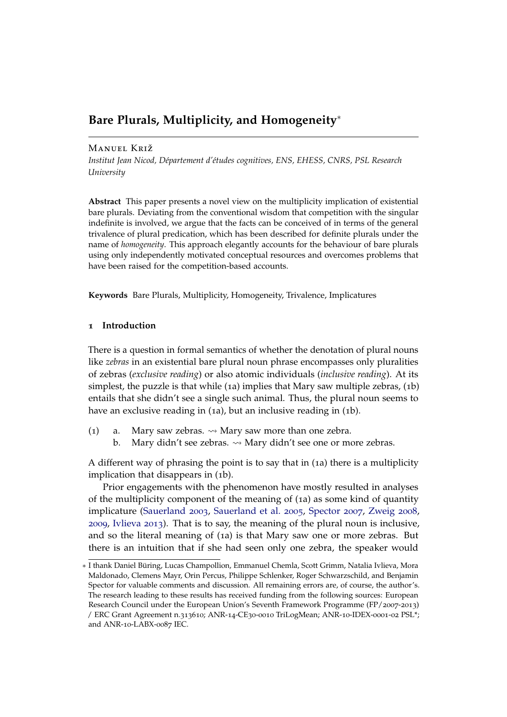# **Bare Plurals, Multiplicity, and Homogeneity**<sup>∗</sup>

# Manuel Križ

*Institut Jean Nicod, Département d'études cognitives, ENS, EHESS, CNRS, PSL Research University*

**Abstract** This paper presents a novel view on the multiplicity implication of existential bare plurals. Deviating from the conventional wisdom that competition with the singular indefinite is involved, we argue that the facts can be conceived of in terms of the general trivalence of plural predication, which has been described for definite plurals under the name of *homogeneity*. This approach elegantly accounts for the behaviour of bare plurals using only independently motivated conceptual resources and overcomes problems that have been raised for the competition-based accounts.

**Keywords** Bare Plurals, Multiplicity, Homogeneity, Trivalence, Implicatures

#### **1 Introduction**

There is a question in formal semantics of whether the denotation of plural nouns like *zebras* in an existential bare plural noun phrase encompasses only pluralities of zebras (*exclusive reading*) or also atomic individuals (*inclusive reading*). At its simplest, the puzzle is that while (1a) implies that Mary saw multiple zebras, (1b) entails that she didn't see a single such animal. Thus, the plural noun seems to have an exclusive reading in (1a), but an inclusive reading in (1b).

- <span id="page-0-0"></span>(1) a. Mary saw zebras.  $\rightsquigarrow$  Mary saw more than one zebra.
	- b. Mary didn't see zebras.  $\rightsquigarrow$  Mary didn't see one or more zebras.

A different way of phrasing the point is to say that in (1a) there is a multiplicity implication that disappears in (1b).

Prior engagements with the phenomenon have mostly resulted in analyses of the multiplicity component of the meaning of (1a) as some kind of quantity implicature [\(Sauerland](#page-37-0) [2003](#page-37-0), [Sauerland et al.](#page-37-1) [2005](#page-37-1), [Spector](#page-37-2) [2007](#page-37-2), [Zweig](#page-38-0) [2008](#page-38-0), [2009](#page-38-1), [Ivlieva](#page-36-0) [2013](#page-36-0)). That is to say, the meaning of the plural noun is inclusive, and so the literal meaning of (1a) is that Mary saw one or more zebras. But there is an intuition that if she had seen only one zebra, the speaker would

<sup>∗</sup> I thank Daniel Büring, Lucas Champollion, Emmanuel Chemla, Scott Grimm, Natalia Ivlieva, Mora Maldonado, Clemens Mayr, Orin Percus, Philippe Schlenker, Roger Schwarzschild, and Benjamin Spector for valuable comments and discussion. All remaining errors are, of course, the author's. The research leading to these results has received funding from the following sources: European Research Council under the European Union's Seventh Framework Programme (FP/2007-2013) / ERC Grant Agreement n.313610; ANR-14-CE30-0010 TriLogMean; ANR-10-IDEX-0001-02 PSL\*; and ANR-10-LABX-0087 IEC.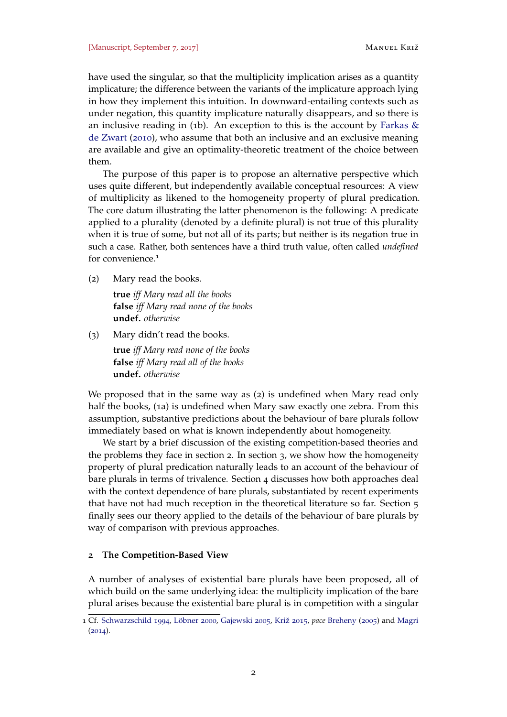have used the singular, so that the multiplicity implication arises as a quantity implicature; the difference between the variants of the implicature approach lying in how they implement this intuition. In downward-entailing contexts such as under negation, this quantity implicature naturally disappears, and so there is an inclusive reading in (1b). An exception to this is the account by Farkas  $\&$ [de Zwart](#page-36-1) ([2010](#page-36-1)), who assume that both an inclusive and an exclusive meaning are available and give an optimality-theoretic treatment of the choice between them.

The purpose of this paper is to propose an alternative perspective which uses quite different, but independently available conceptual resources: A view of multiplicity as likened to the homogeneity property of plural predication. The core datum illustrating the latter phenomenon is the following: A predicate applied to a plurality (denoted by a definite plural) is not true of this plurality when it is true of some, but not all of its parts; but neither is its negation true in such a case. Rather, both sentences have a third truth value, often called *undefined* for convenience.<sup>1</sup>

(2) Mary read the books.

**true** *iff Mary read all the books* **false** *iff Mary read none of the books* **undef.** *otherwise*

(3) Mary didn't read the books.

**true** *iff Mary read none of the books* **false** *iff Mary read all of the books* **undef.** *otherwise*

We proposed that in the same way as (2) is undefined when Mary read only half the books, (1[a\)](#page-0-0) is undefined when Mary saw exactly one zebra. From this assumption, substantive predictions about the behaviour of bare plurals follow immediately based on what is known independently about homogeneity.

We start by a brief discussion of the existing competition-based theories and the problems they face in section [2](#page-1-0). In section [3](#page-6-0), we show how the homogeneity property of plural predication naturally leads to an account of the behaviour of bare plurals in terms of trivalence. Section [4](#page-20-0) discusses how both approaches deal with the context dependence of bare plurals, substantiated by recent experiments that have not had much reception in the theoretical literature so far. Section [5](#page-24-0) finally sees our theory applied to the details of the behaviour of bare plurals by way of comparison with previous approaches.

# <span id="page-1-0"></span>**2 The Competition-Based View**

A number of analyses of existential bare plurals have been proposed, all of which build on the same underlying idea: the multiplicity implication of the bare plural arises because the existential bare plural is in competition with a singular

<sup>1</sup> Cf. [Schwarzschild](#page-37-3) [1994](#page-37-3), [Löbner](#page-37-4) [2000](#page-37-4), [Gajewski](#page-36-2) [2005](#page-36-2), [Križ](#page-36-3) [2015](#page-36-3), *pace* [Breheny](#page-35-0) ([2005](#page-35-0)) and [Magri](#page-37-5)  $(2014)$  $(2014)$  $(2014)$ .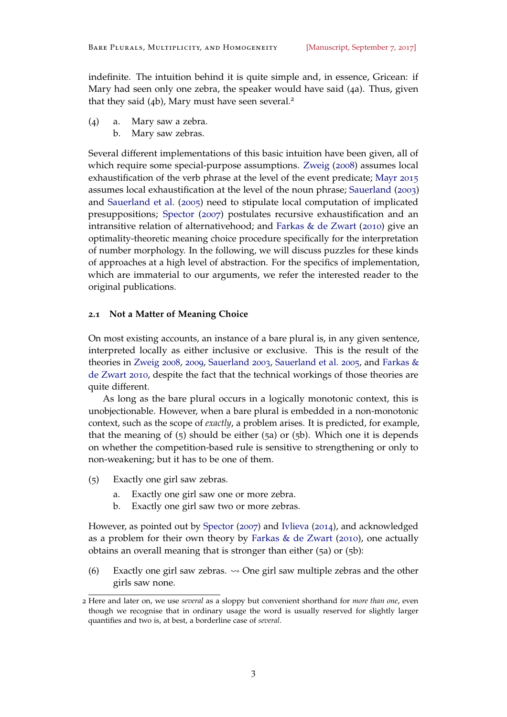indefinite. The intuition behind it is quite simple and, in essence, Gricean: if Mary had seen only one zebra, the speaker would have said (4a). Thus, given that they said  $(4b)$ , Mary must have seen several.<sup>2</sup>

- (4) a. Mary saw a zebra.
	- b. Mary saw zebras.

Several different implementations of this basic intuition have been given, all of which require some special-purpose assumptions. [Zweig](#page-38-0) ([2008](#page-38-0)) assumes local exhaustification of the verb phrase at the level of the event predicate; [Mayr](#page-37-6) [2015](#page-37-6) assumes local exhaustification at the level of the noun phrase; [Sauerland](#page-37-0) ([2003](#page-37-0)) and [Sauerland et al.](#page-37-1) ([2005](#page-37-1)) need to stipulate local computation of implicated presuppositions; [Spector](#page-37-2) ([2007](#page-37-2)) postulates recursive exhaustification and an intransitive relation of alternativehood; and [Farkas & de Zwart](#page-36-1) ([2010](#page-36-1)) give an optimality-theoretic meaning choice procedure specifically for the interpretation of number morphology. In the following, we will discuss puzzles for these kinds of approaches at a high level of abstraction. For the specifics of implementation, which are immaterial to our arguments, we refer the interested reader to the original publications.

## <span id="page-2-3"></span>**2.1 Not a Matter of Meaning Choice**

On most existing accounts, an instance of a bare plural is, in any given sentence, interpreted locally as either inclusive or exclusive. This is the result of the theories in [Zweig](#page-38-0) [2008](#page-38-0), [2009](#page-38-1), [Sauerland](#page-37-0) [2003](#page-37-0), [Sauerland et al.](#page-37-1) [2005](#page-37-1), and [Farkas &](#page-36-1) [de Zwart](#page-36-1) [2010](#page-36-1), despite the fact that the technical workings of those theories are quite different.

As long as the bare plural occurs in a logically monotonic context, this is unobjectionable. However, when a bare plural is embedded in a non-monotonic context, such as the scope of *exactly*, a problem arises. It is predicted, for example, that the meaning of  $(5)$  should be either  $(5a)$  or  $(5b)$ . Which one it is depends on whether the competition-based rule is sensitive to strengthening or only to non-weakening; but it has to be one of them.

- <span id="page-2-1"></span><span id="page-2-0"></span>(5) Exactly one girl saw zebras.
	- a. Exactly one girl saw one or more zebra.
	- b. Exactly one girl saw two or more zebras.

<span id="page-2-2"></span>However, as pointed out by [Spector](#page-37-2) ([2007](#page-37-2)) and [Ivlieva](#page-36-4) ([2014](#page-36-4)), and acknowledged as a problem for their own theory by [Farkas & de Zwart](#page-36-1) ([2010](#page-36-1)), one actually obtains an overall meaning that is stronger than either (5a) or (5b):

(6) Exactly one girl saw zebras.  $\rightsquigarrow$  One girl saw multiple zebras and the other girls saw none.

<sup>2</sup> Here and later on, we use *several* as a sloppy but convenient shorthand for *more than one*, even though we recognise that in ordinary usage the word is usually reserved for slightly larger quantifies and two is, at best, a borderline case of *several*.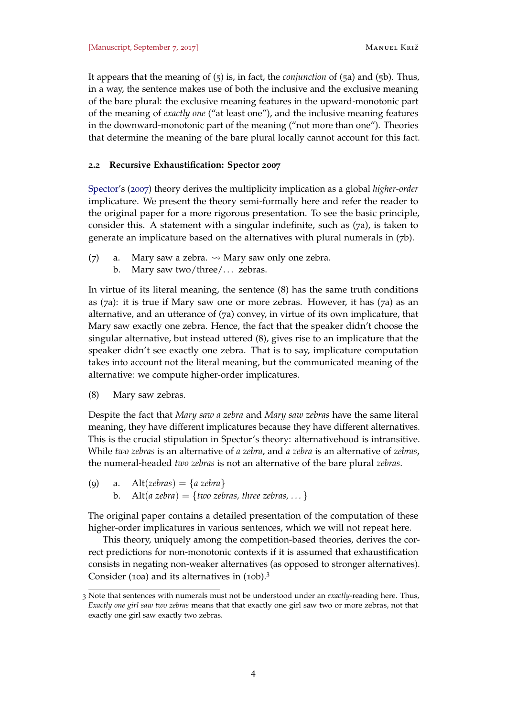It appears that the meaning of ([5](#page-2-0)) is, in fact, the *conjunction* of (5[a\)](#page-2-1) and (5[b\).](#page-2-2) Thus, in a way, the sentence makes use of both the inclusive and the exclusive meaning of the bare plural: the exclusive meaning features in the upward-monotonic part of the meaning of *exactly one* ("at least one"), and the inclusive meaning features in the downward-monotonic part of the meaning ("not more than one"). Theories that determine the meaning of the bare plural locally cannot account for this fact.

# **2.2 Recursive Exhaustification: Spector 2007**

[Spector'](#page-37-2)s ([2007](#page-37-2)) theory derives the multiplicity implication as a global *higher-order* implicature. We present the theory semi-formally here and refer the reader to the original paper for a more rigorous presentation. To see the basic principle, consider this. A statement with a singular indefinite, such as (7a), is taken to generate an implicature based on the alternatives with plural numerals in (7b).

- (7) a. Mary saw a zebra.  $\rightsquigarrow$  Mary saw only one zebra.
	- b. Mary saw two/three/... zebras.

In virtue of its literal meaning, the sentence (8) has the same truth conditions as (7a): it is true if Mary saw one or more zebras. However, it has (7a) as an alternative, and an utterance of (7a) convey, in virtue of its own implicature, that Mary saw exactly one zebra. Hence, the fact that the speaker didn't choose the singular alternative, but instead uttered (8), gives rise to an implicature that the speaker didn't see exactly one zebra. That is to say, implicature computation takes into account not the literal meaning, but the communicated meaning of the alternative: we compute higher-order implicatures.

(8) Mary saw zebras.

Despite the fact that *Mary saw a zebra* and *Mary saw zebras* have the same literal meaning, they have different implicatures because they have different alternatives. This is the crucial stipulation in Spector's theory: alternativehood is intransitive. While *two zebras* is an alternative of *a zebra*, and *a zebra* is an alternative of *zebras*, the numeral-headed *two zebras* is not an alternative of the bare plural *zebras*.

(9) a. Alt(*zebras*) =  ${a$ *zebra* $}$ b. Alt(*a zebra*) = {*two zebras, three zebras, ...* }

The original paper contains a detailed presentation of the computation of these higher-order implicatures in various sentences, which we will not repeat here.

This theory, uniquely among the competition-based theories, derives the correct predictions for non-monotonic contexts if it is assumed that exhaustification consists in negating non-weaker alternatives (as opposed to stronger alternatives). Consider (10a) and its alternatives in (10b).<sup>3</sup>

<sup>3</sup> Note that sentences with numerals must not be understood under an *exactly*-reading here. Thus, *Exactly one girl saw two zebras* means that that exactly one girl saw two or more zebras, not that exactly one girl saw exactly two zebras.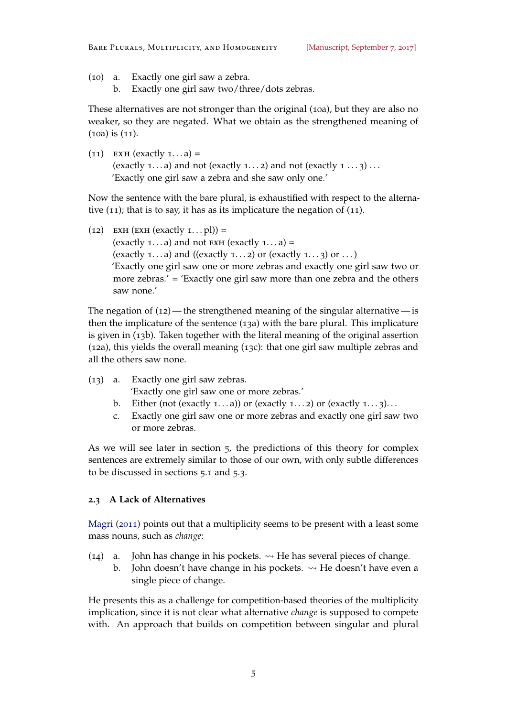- (10) a. Exactly one girl saw a zebra.
	- b. Exactly one girl saw two/three/dots zebras.

These alternatives are not stronger than the original (10a), but they are also no weaker, so they are negated. What we obtain as the strengthened meaning of (10a) is (11).

 $(11)$  EXH (exactly  $1... a$ ) = (exactly 1...a) and not (exactly 1...2) and not (exactly  $1 \ldots 3$ ) ... 'Exactly one girl saw a zebra and she saw only one.'

Now the sentence with the bare plural, is exhaustified with respect to the alternative (11); that is to say, it has as its implicature the negation of (11).

(12) EXH (EXH (exactly  $1 \dots p$ l)) = (exactly 1...a) and not  $ext{Ext}$  (exactly 1...a) = (exactly 1...a) and ((exactly 1...2) or (exactly 1...3) or ...) 'Exactly one girl saw one or more zebras and exactly one girl saw two or more zebras.' = 'Exactly one girl saw more than one zebra and the others saw none.'

The negation of  $(12)$ —the strengthened meaning of the singular alternative—is then the implicature of the sentence (13a) with the bare plural. This implicature is given in (13b). Taken together with the literal meaning of the original assertion (12a), this yields the overall meaning (13c): that one girl saw multiple zebras and all the others saw none.

- (13) a. Exactly one girl saw zebras. 'Exactly one girl saw one or more zebras.'
	- b. Either (not (exactly 1...a)) or (exactly 1...2) or (exactly 1...3)...
	- c. Exactly one girl saw one or more zebras and exactly one girl saw two or more zebras.

As we will see later in section [5](#page-24-0), the predictions of this theory for complex sentences are extremely similar to those of our own, with only subtle differences to be discussed in sections [5](#page-24-1).1 and [5](#page-26-0).3.

#### <span id="page-4-0"></span>**2.3 A Lack of Alternatives**

[Magri](#page-37-7) ([2011](#page-37-7)) points out that a multiplicity seems to be present with a least some mass nouns, such as *change*:

- (14) a. John has change in his pockets.  $\rightsquigarrow$  He has several pieces of change.
	- b. John doesn't have change in his pockets.  $\rightsquigarrow$  He doesn't have even a single piece of change.

He presents this as a challenge for competition-based theories of the multiplicity implication, since it is not clear what alternative *change* is supposed to compete with. An approach that builds on competition between singular and plural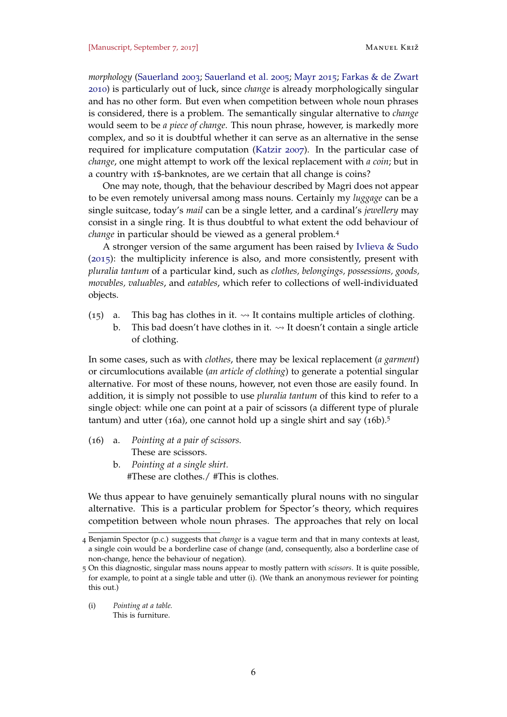*morphology* [\(Sauerland](#page-37-0) [2003](#page-37-0); [Sauerland et al.](#page-37-1) [2005](#page-37-1); [Mayr](#page-37-6) [2015](#page-37-6); [Farkas & de Zwart](#page-36-1) [2010](#page-36-1)) is particularly out of luck, since *change* is already morphologically singular and has no other form. But even when competition between whole noun phrases is considered, there is a problem. The semantically singular alternative to *change* would seem to be *a piece of change*. This noun phrase, however, is markedly more complex, and so it is doubtful whether it can serve as an alternative in the sense required for implicature computation [\(Katzir](#page-36-5) [2007](#page-36-5)). In the particular case of *change*, one might attempt to work off the lexical replacement with *a coin*; but in a country with 1\$-banknotes, are we certain that all change is coins?

One may note, though, that the behaviour described by Magri does not appear to be even remotely universal among mass nouns. Certainly my *luggage* can be a single suitcase, today's *mail* can be a single letter, and a cardinal's *jewellery* may consist in a single ring. It is thus doubtful to what extent the odd behaviour of *change* in particular should be viewed as a general problem.<sup>4</sup>

A stronger version of the same argument has been raised by [Ivlieva & Sudo](#page-36-6) ([2015](#page-36-6)): the multiplicity inference is also, and more consistently, present with *pluralia tantum* of a particular kind, such as *clothes, belongings, possessions, goods, movables, valuables*, and *eatables*, which refer to collections of well-individuated objects.

- (15) a. This bag has clothes in it.  $\rightarrow$  It contains multiple articles of clothing.
	- b. This bad doesn't have clothes in it.  $\rightarrow$  It doesn't contain a single article of clothing.

In some cases, such as with *clothes*, there may be lexical replacement (*a garment*) or circumlocutions available (*an article of clothing*) to generate a potential singular alternative. For most of these nouns, however, not even those are easily found. In addition, it is simply not possible to use *pluralia tantum* of this kind to refer to a single object: while one can point at a pair of scissors (a different type of plurale tantum) and utter (16a), one cannot hold up a single shirt and say  $(16b)$ .<sup>5</sup>

- (16) a. *Pointing at a pair of scissors.* These are scissors.
	- b. *Pointing at a single shirt.* #These are clothes./ #This is clothes.

We thus appear to have genuinely semantically plural nouns with no singular alternative. This is a particular problem for Spector's theory, which requires competition between whole noun phrases. The approaches that rely on local

(i) *Pointing at a table.* This is furniture.

<sup>4</sup> Benjamin Spector (p.c.) suggests that *change* is a vague term and that in many contexts at least, a single coin would be a borderline case of change (and, consequently, also a borderline case of non-change, hence the behaviour of negation).

<sup>5</sup> On this diagnostic, singular mass nouns appear to mostly pattern with *scissors*. It is quite possible, for example, to point at a single table and utter (i). (We thank an anonymous reviewer for pointing this out.)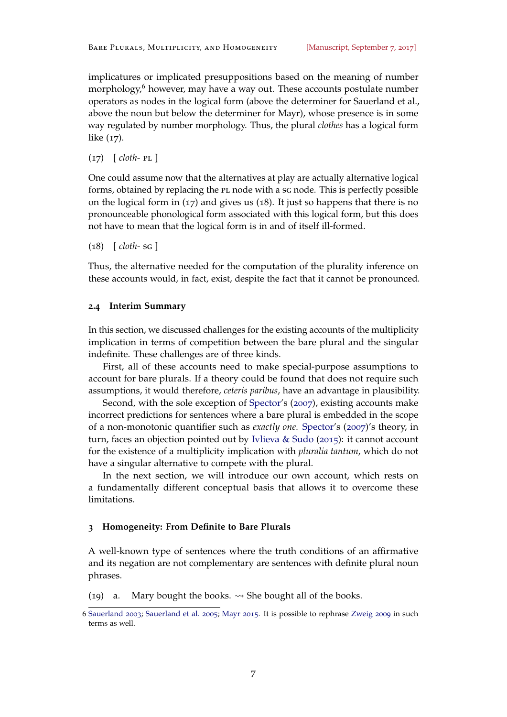implicatures or implicated presuppositions based on the meaning of number morphology, $6$  however, may have a way out. These accounts postulate number operators as nodes in the logical form (above the determiner for Sauerland et al., above the noun but below the determiner for Mayr), whose presence is in some way regulated by number morphology. Thus, the plural *clothes* has a logical form like (17).

(17) [ *cloth-* pl ]

One could assume now that the alternatives at play are actually alternative logical forms, obtained by replacing the PL node with a sg node. This is perfectly possible on the logical form in  $(17)$  and gives us  $(18)$ . It just so happens that there is no pronounceable phonological form associated with this logical form, but this does not have to mean that the logical form is in and of itself ill-formed.

(18) [ *cloth-* sg ]

Thus, the alternative needed for the computation of the plurality inference on these accounts would, in fact, exist, despite the fact that it cannot be pronounced.

## **2.4 Interim Summary**

In this section, we discussed challenges for the existing accounts of the multiplicity implication in terms of competition between the bare plural and the singular indefinite. These challenges are of three kinds.

First, all of these accounts need to make special-purpose assumptions to account for bare plurals. If a theory could be found that does not require such assumptions, it would therefore, *ceteris paribus*, have an advantage in plausibility.

Second, with the sole exception of [Spector'](#page-37-2)s ([2007](#page-37-2)), existing accounts make incorrect predictions for sentences where a bare plural is embedded in the scope of a non-monotonic quantifier such as *exactly one*. [Spector'](#page-37-2)s ([2007](#page-37-2))'s theory, in turn, faces an objection pointed out by [Ivlieva & Sudo](#page-36-6) ([2015](#page-36-6)): it cannot account for the existence of a multiplicity implication with *pluralia tantum*, which do not have a singular alternative to compete with the plural.

In the next section, we will introduce our own account, which rests on a fundamentally different conceptual basis that allows it to overcome these limitations.

## <span id="page-6-0"></span>**3 Homogeneity: From Definite to Bare Plurals**

A well-known type of sentences where the truth conditions of an affirmative and its negation are not complementary are sentences with definite plural noun phrases.

<span id="page-6-1"></span>(19) a. Mary bought the books.  $\rightsquigarrow$  She bought all of the books.

<sup>6</sup> [Sauerland](#page-37-0) [2003](#page-37-0); [Sauerland et al.](#page-37-1) [2005](#page-37-1); [Mayr](#page-37-6) [2015](#page-37-6). It is possible to rephrase [Zweig](#page-38-1) [2009](#page-38-1) in such terms as well.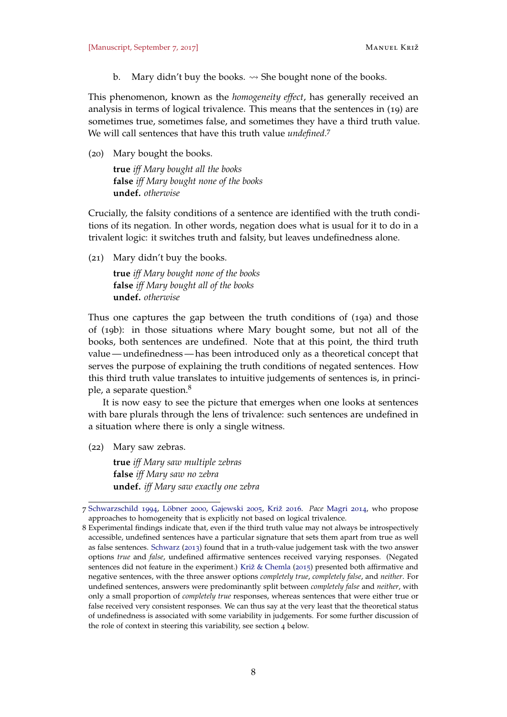b. Mary didn't buy the books.  $\rightsquigarrow$  She bought none of the books.

<span id="page-7-0"></span>This phenomenon, known as the *homogeneity effect*, has generally received an analysis in terms of logical trivalence. This means that the sentences in (19) are sometimes true, sometimes false, and sometimes they have a third truth value. We will call sentences that have this truth value *undefined*. 7

(20) Mary bought the books.

**true** *iff Mary bought all the books* **false** *iff Mary bought none of the books* **undef.** *otherwise*

Crucially, the falsity conditions of a sentence are identified with the truth conditions of its negation. In other words, negation does what is usual for it to do in a trivalent logic: it switches truth and falsity, but leaves undefinedness alone.

(21) Mary didn't buy the books.

**true** *iff Mary bought none of the books* **false** *iff Mary bought all of the books* **undef.** *otherwise*

Thus one captures the gap between the truth conditions of (19[a\)](#page-6-1) and those of (19[b\):](#page-7-0) in those situations where Mary bought some, but not all of the books, both sentences are undefined. Note that at this point, the third truth value — undefinedness — has been introduced only as a theoretical concept that serves the purpose of explaining the truth conditions of negated sentences. How this third truth value translates to intuitive judgements of sentences is, in principle, a separate question.<sup>8</sup>

It is now easy to see the picture that emerges when one looks at sentences with bare plurals through the lens of trivalence: such sentences are undefined in a situation where there is only a single witness.

(22) Mary saw zebras.

**true** *iff Mary saw multiple zebras* **false** *iff Mary saw no zebra* **undef.** *iff Mary saw exactly one zebra*

<sup>7</sup> [Schwarzschild](#page-37-3) [1994](#page-37-3), [Löbner](#page-37-4) [2000](#page-37-4), [Gajewski](#page-36-2) [2005](#page-36-2), [Križ](#page-36-7) [2016](#page-36-7). *Pace* [Magri](#page-37-5) [2014](#page-37-5), who propose approaches to homogeneity that is explicitly not based on logical trivalence.

<sup>8</sup> Experimental findings indicate that, even if the third truth value may not always be introspectively accessible, undefined sentences have a particular signature that sets them apart from true as well as false sentences. [Schwarz](#page-37-8) ([2013](#page-37-8)) found that in a truth-value judgement task with the two answer options *true* and *false*, undefined affirmative sentences received varying responses. (Negated sentences did not feature in the experiment.) [Križ & Chemla](#page-36-8) ([2015](#page-36-8)) presented both affirmative and negative sentences, with the three answer options *completely true*, *completely false*, and *neither*. For undefined sentences, answers were predominantly split between *completely false* and *neither*, with only a small proportion of *completely true* responses, whereas sentences that were either true or false received very consistent responses. We can thus say at the very least that the theoretical status of undefinedness is associated with some variability in judgements. For some further discussion of the role of context in steering this variability, see section [4](#page-20-0) below.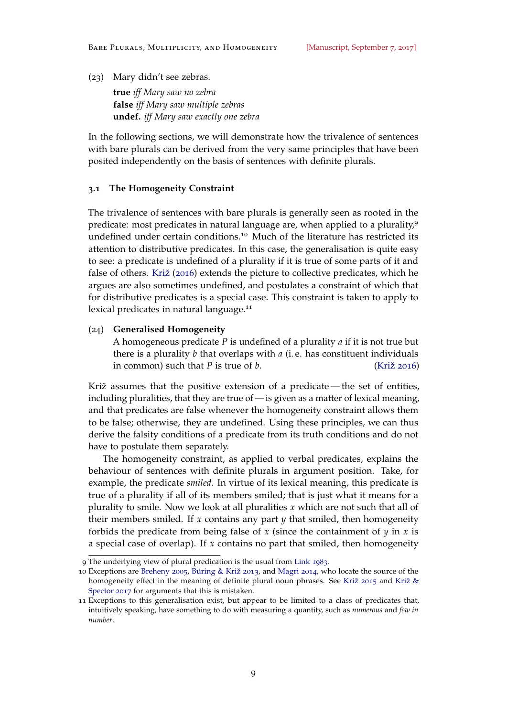(23) Mary didn't see zebras.

**true** *iff Mary saw no zebra* **false** *iff Mary saw multiple zebras* **undef.** *iff Mary saw exactly one zebra*

In the following sections, we will demonstrate how the trivalence of sentences with bare plurals can be derived from the very same principles that have been posited independently on the basis of sentences with definite plurals.

# **3.1 The Homogeneity Constraint**

The trivalence of sentences with bare plurals is generally seen as rooted in the predicate: most predicates in natural language are, when applied to a plurality,<sup>9</sup> undefined under certain conditions.<sup>10</sup> Much of the literature has restricted its attention to distributive predicates. In this case, the generalisation is quite easy to see: a predicate is undefined of a plurality if it is true of some parts of it and false of others. [Križ](#page-36-7) ([2016](#page-36-7)) extends the picture to collective predicates, which he argues are also sometimes undefined, and postulates a constraint of which that for distributive predicates is a special case. This constraint is taken to apply to lexical predicates in natural language.<sup>11</sup>

### (24) **Generalised Homogeneity**

A homogeneous predicate *P* is undefined of a plurality *a* if it is not true but there is a plurality *b* that overlaps with *a* (i. e. has constituent individuals in common) such that *P* is true of *b*. [\(Križ](#page-36-7) [2016](#page-36-7))

Križ assumes that the positive extension of a predicate— the set of entities, including pluralities, that they are true of — is given as a matter of lexical meaning, and that predicates are false whenever the homogeneity constraint allows them to be false; otherwise, they are undefined. Using these principles, we can thus derive the falsity conditions of a predicate from its truth conditions and do not have to postulate them separately.

The homogeneity constraint, as applied to verbal predicates, explains the behaviour of sentences with definite plurals in argument position. Take, for example, the predicate *smiled*. In virtue of its lexical meaning, this predicate is true of a plurality if all of its members smiled; that is just what it means for a plurality to smile. Now we look at all pluralities *x* which are not such that all of their members smiled. If *x* contains any part  $\psi$  that smiled, then homogeneity forbids the predicate from being false of *x* (since the containment of *y* in *x* is a special case of overlap). If *x* contains no part that smiled, then homogeneity

<sup>9</sup> The underlying view of plural predication is the usual from [Link](#page-36-9) [1983](#page-36-9).

<sup>10</sup> Exceptions are [Breheny](#page-35-0) [2005](#page-35-0), [Büring & Križ](#page-35-1) [2013](#page-35-1), and [Magri](#page-37-5) [2014](#page-37-5), who locate the source of the homogeneity effect in the meaning of definite plural noun phrases. See [Križ](#page-36-3) [2015](#page-36-3) and [Križ &](#page-36-10) [Spector](#page-36-10) [2017](#page-36-10) for arguments that this is mistaken.

<sup>11</sup> Exceptions to this generalisation exist, but appear to be limited to a class of predicates that, intuitively speaking, have something to do with measuring a quantity, such as *numerous* and *few in number*.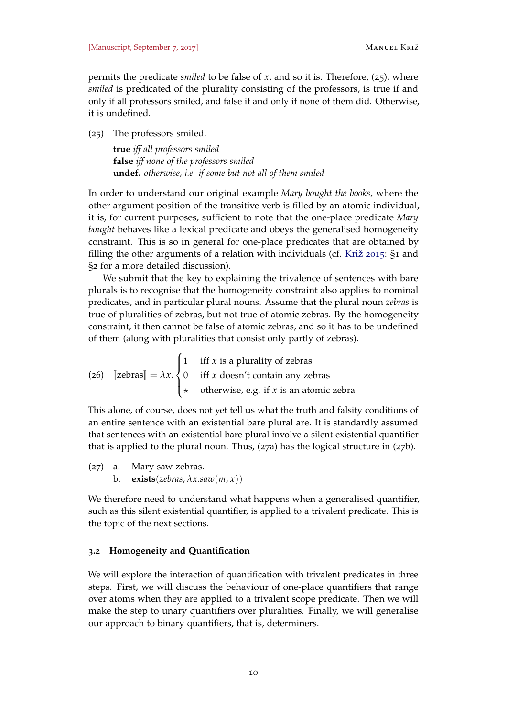permits the predicate *smiled* to be false of *x*, and so it is. Therefore, (25), where *smiled* is predicated of the plurality consisting of the professors, is true if and only if all professors smiled, and false if and only if none of them did. Otherwise, it is undefined.

(25) The professors smiled.

**true** *iff all professors smiled* **false** *iff none of the professors smiled* **undef.** *otherwise, i.e. if some but not all of them smiled*

In order to understand our original example *Mary bought the books*, where the other argument position of the transitive verb is filled by an atomic individual, it is, for current purposes, sufficient to note that the one-place predicate *Mary bought* behaves like a lexical predicate and obeys the generalised homogeneity constraint. This is so in general for one-place predicates that are obtained by filling the other arguments of a relation with individuals (cf. [Križ](#page-36-3) [2015](#page-36-3): §1 and §2 for a more detailed discussion).

We submit that the key to explaining the trivalence of sentences with bare plurals is to recognise that the homogeneity constraint also applies to nominal predicates, and in particular plural nouns. Assume that the plural noun *zebras* is true of pluralities of zebras, but not true of atomic zebras. By the homogeneity constraint, it then cannot be false of atomic zebras, and so it has to be undefined of them (along with pluralities that consist only partly of zebras).

(26) 
$$
\begin{bmatrix} \text{zebras} \end{bmatrix} = \lambda x. \begin{cases} 1 & \text{iff } x \text{ is a plurality of zebras} \\ 0 & \text{iff } x \text{ doesn't contain any zebras} \\ \star & \text{otherwise, e.g. if } x \text{ is an atomic zebra} \end{cases}
$$

This alone, of course, does not yet tell us what the truth and falsity conditions of an entire sentence with an existential bare plural are. It is standardly assumed that sentences with an existential bare plural involve a silent existential quantifier that is applied to the plural noun. Thus, (27a) has the logical structure in (27b).

(27) a. Mary saw zebras. b. **exists**(*zebras*,  $\lambda x$ *.saw*( $m, x$ ))

We therefore need to understand what happens when a generalised quantifier, such as this silent existential quantifier, is applied to a trivalent predicate. This is the topic of the next sections.

### <span id="page-9-0"></span>**3.2 Homogeneity and Quantification**

<span id="page-9-1"></span>We will explore the interaction of quantification with trivalent predicates in three steps. First, we will discuss the behaviour of one-place quantifiers that range over atoms when they are applied to a trivalent scope predicate. Then we will make the step to unary quantifiers over pluralities. Finally, we will generalise our approach to binary quantifiers, that is, determiners.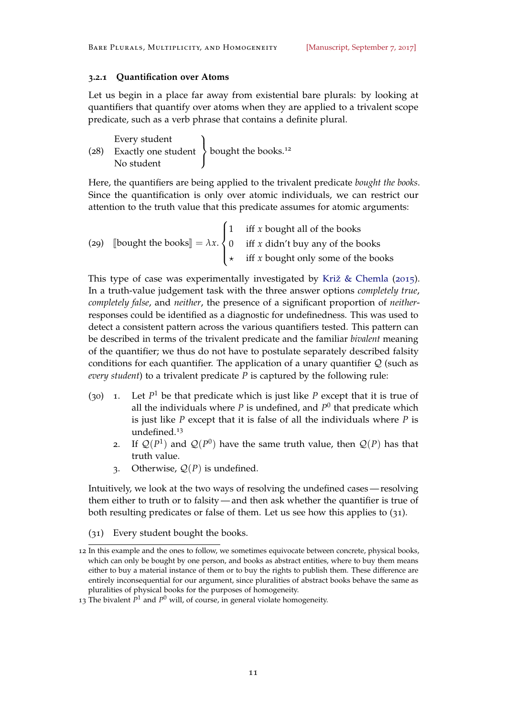## **3.2.1 Quantification over Atoms**

Let us begin in a place far away from existential bare plurals: by looking at quantifiers that quantify over atoms when they are applied to a trivalent scope predicate, such as a verb phrase that contains a definite plural.

| Every student                                                 |  |
|---------------------------------------------------------------|--|
| (28) Exactly one student $\,$ bought the books. <sup>12</sup> |  |
| No student                                                    |  |

Here, the quantifiers are being applied to the trivalent predicate *bought the books*. Since the quantification is only over atomic individuals, we can restrict our attention to the truth value that this predicate assumes for atomic arguments:

<span id="page-10-2"></span>(29) [bought the books] = 
$$
\lambda x
$$
.  

$$
\begin{cases} 1 & \text{iff } x \text{ bought all of the books} \\ 0 & \text{iff } x \text{ didn't buy any of the books} \\ \star & \text{iff } x \text{ bought only some of the books} \end{cases}
$$

This type of case was experimentally investigated by [Križ & Chemla](#page-36-8) ([2015](#page-36-8)). In a truth-value judgement task with the three answer options *completely true*, *completely false*, and *neither*, the presence of a significant proportion of *neither*responses could be identified as a diagnostic for undefinedness. This was used to detect a consistent pattern across the various quantifiers tested. This pattern can be described in terms of the trivalent predicate and the familiar *bivalent* meaning of the quantifier; we thus do not have to postulate separately described falsity conditions for each quantifier. The application of a unary quantifier  $Q$  (such as *every student*) to a trivalent predicate *P* is captured by the following rule:

- <span id="page-10-1"></span> $(30)$  1. Let  $P<sup>1</sup>$  be that predicate which is just like  $P$  except that it is true of all the individuals where  $P$  is undefined, and  $P^0$  that predicate which is just like *P* except that it is false of all the individuals where *P* is undefined.<sup>13</sup>
	- 2. If  $\mathcal{Q}(P^1)$  and  $\mathcal{Q}(P^0)$  have the same truth value, then  $\mathcal{Q}(P)$  has that truth value.
	- 3. Otherwise,  $Q(P)$  is undefined.

Intuitively, we look at the two ways of resolving the undefined cases — resolving them either to truth or to falsity — and then ask whether the quantifier is true of both resulting predicates or false of them. Let us see how this applies to (31).

<span id="page-10-0"></span>(31) Every student bought the books.

<sup>12</sup> In this example and the ones to follow, we sometimes equivocate between concrete, physical books, which can only be bought by one person, and books as abstract entities, where to buy them means either to buy a material instance of them or to buy the rights to publish them. These difference are entirely inconsequential for our argument, since pluralities of abstract books behave the same as pluralities of physical books for the purposes of homogeneity.

<sup>13</sup> The bivalent  $P^1$  and  $P^0$  will, of course, in general violate homogeneity.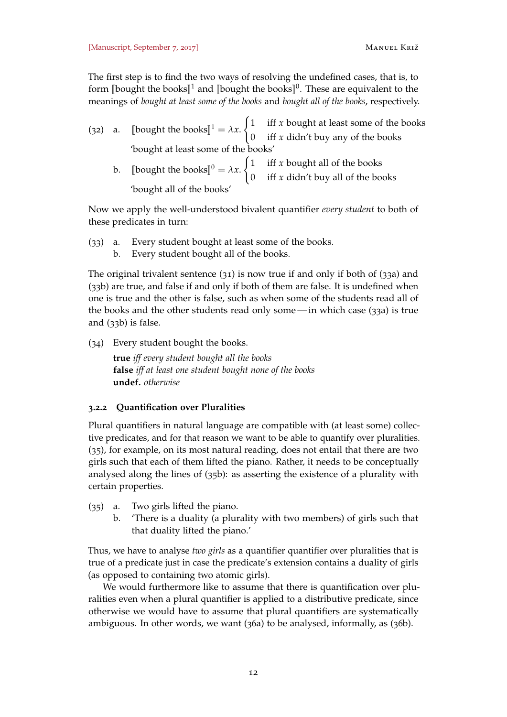The first step is to find the two ways of resolving the undefined cases, that is, to form  $\llbracket$ bought the books $\rrbracket^1$  and  $\llbracket$ bought the books $\rrbracket^0$ . These are equivalent to the meanings of *bought at least some of the books* and *bought all of the books*, respectively.

(32) a. [bought the books]<sup>1</sup> =  $\lambda x$ .  $\int 1$  iff *x* bought at least some of the books 0 iff *x* didn't buy any of the books 'bought at least some of the books' b. [bought the books]<sup>0</sup> =  $\lambda x$ .  $\int$  1 iff *x* bought all of the books 0 iff *x* didn't buy all of the books 'bought all of the books'

Now we apply the well-understood bivalent quantifier *every student* to both of these predicates in turn:

- (33) a. Every student bought at least some of the books.
	- b. Every student bought all of the books.

The original trivalent sentence ([31](#page-10-0)) is now true if and only if both of (33a) and (33b) are true, and false if and only if both of them are false. It is undefined when one is true and the other is false, such as when some of the students read all of the books and the other students read only some— in which case (33a) is true and (33b) is false.

(34) Every student bought the books.

**true** *iff every student bought all the books* **false** *iff at least one student bought none of the books* **undef.** *otherwise*

## <span id="page-11-1"></span>**3.2.2 Quantification over Pluralities**

Plural quantifiers in natural language are compatible with (at least some) collective predicates, and for that reason we want to be able to quantify over pluralities. (35), for example, on its most natural reading, does not entail that there are two girls such that each of them lifted the piano. Rather, it needs to be conceptually analysed along the lines of (35b): as asserting the existence of a plurality with certain properties.

- (35) a. Two girls lifted the piano.
	- b. 'There is a duality (a plurality with two members) of girls such that that duality lifted the piano.'

Thus, we have to analyse *two girls* as a quantifier quantifier over pluralities that is true of a predicate just in case the predicate's extension contains a duality of girls (as opposed to containing two atomic girls).

<span id="page-11-0"></span>We would furthermore like to assume that there is quantification over pluralities even when a plural quantifier is applied to a distributive predicate, since otherwise we would have to assume that plural quantifiers are systematically ambiguous. In other words, we want (36a) to be analysed, informally, as (36b).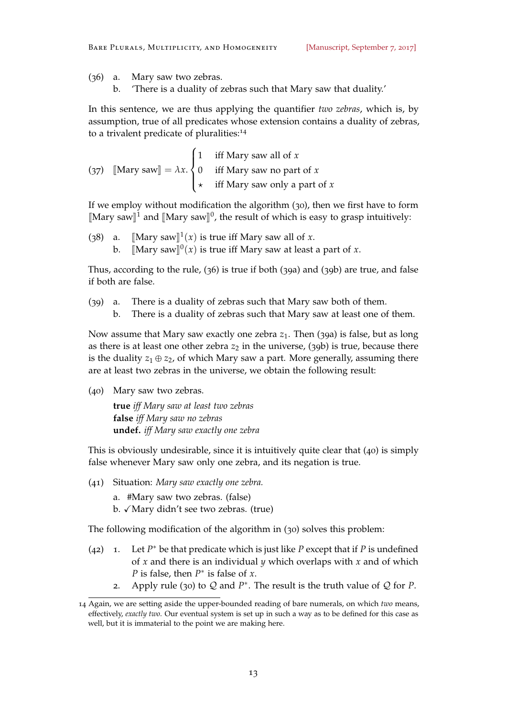(36) a. Mary saw two zebras.

b. 'There is a duality of zebras such that Mary saw that duality.'

In this sentence, we are thus applying the quantifier *two zebras*, which is, by assumption, true of all predicates whose extension contains a duality of zebras, to a trivalent predicate of pluralities:<sup>14</sup>

<span id="page-12-0"></span>

|  | $\begin{bmatrix} 1 & \text{iff} \\ 1 & \text{iff} \\ 1 & \text{if} \\ 1 & \text{if} \\ 1 & \text{if} \\ 1 & \text{if} \\ 1 & \text{if} \\ 1 & \text{if} \\ 1 & \text{if} \\ 1 & \text{if} \\ 1 & \text{if} \\ 1 & \text{if} \\ 1 & \text{if} \\ 1 & \text{if} \\ 1 & \text{if} \\ 1 & \text{if} \\ 1 & \text{if} \\ 1 & \text{if} \\ 1 & \text{if} \\ 1 & \text{if} \\ 1 & \text{if} \\ 1 & \text{if} \\ 1 & \text{if} \\ 1 & \text{if$ |
|--|-----------------------------------------------------------------------------------------------------------------------------------------------------------------------------------------------------------------------------------------------------------------------------------------------------------------------------------------------------------------------------------------------------------------------------------------|
|  | (37) [Mary saw] = $\lambda x. \begin{cases} 0 & \text{iff } \text{Mary saw no part of } x \end{cases}$                                                                                                                                                                                                                                                                                                                                  |
|  | $\star$ iff Mary saw only a part of x                                                                                                                                                                                                                                                                                                                                                                                                   |

If we employ without modification the algorithm ([30](#page-10-1)), then we first have to form [Mary saw]<sup>1</sup> and [Mary saw]<sup>0</sup>, the result of which is easy to grasp intuitively:

(38) a.  $[\text{Mary saw}]^1(x)$  is true iff Mary saw all of *x*. b.  $\left[\text{Mary saw}\right]^0(x)$  is true iff Mary saw at least a part of *x*.

Thus, according to the rule, ([36](#page-11-0)) is true if both (39a) and (39b) are true, and false if both are false.

- <span id="page-12-1"></span>(39) a. There is a duality of zebras such that Mary saw both of them.
	- b. There is a duality of zebras such that Mary saw at least one of them.

Now assume that Mary saw exactly one zebra *z*<sub>1</sub>. Then (39a) is false, but as long as there is at least one other zebra  $z_2$  in the universe, (39b) is true, because there is the duality  $z_1 \oplus z_2$ , of which Mary saw a part. More generally, assuming there are at least two zebras in the universe, we obtain the following result:

(40) Mary saw two zebras.

**true** *iff Mary saw at least two zebras* **false** *iff Mary saw no zebras* **undef.** *iff Mary saw exactly one zebra*

This is obviously undesirable, since it is intuitively quite clear that (40) is simply false whenever Mary saw only one zebra, and its negation is true.

- (41) Situation: *Mary saw exactly one zebra.*
	- a. #Mary saw two zebras. (false)
	- $b. \sqrt{M}$ ary didn't see two zebras. (true)

<span id="page-12-2"></span>The following modification of the algorithm in ([30](#page-10-1)) solves this problem:

- $(42)$  1. Let  $P^*$  be that predicate which is just like  $P$  except that if  $P$  is undefined of *x* and there is an individual *y* which overlaps with *x* and of which *P* is false, then  $P^*$  is false of *x*.
	- 2. Apply rule ([30](#page-10-1)) to  $Q$  and  $P^*$ . The result is the truth value of  $Q$  for  $P$ .

<sup>14</sup> Again, we are setting aside the upper-bounded reading of bare numerals, on which *two* means, effectively, *exactly two*. Our eventual system is set up in such a way as to be defined for this case as well, but it is immaterial to the point we are making here.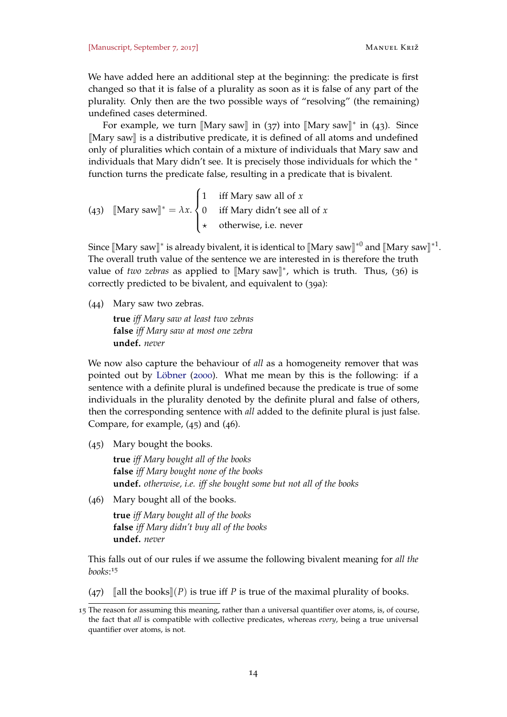We have added here an additional step at the beginning: the predicate is first changed so that it is false of a plurality as soon as it is false of any part of the plurality. Only then are the two possible ways of "resolving" (the remaining) undefined cases determined.

For example, we turn [Mary saw] in ([37](#page-12-0)) into [Mary saw]<sup>\*</sup> in (43). Since  $\mathbb{M}$ ary saw $\mathbb{I}$  is a distributive predicate, it is defined of all atoms and undefined only of pluralities which contain of a mixture of individuals that Mary saw and individuals that Mary didn't see. It is precisely those individuals for which the <sup>∗</sup> function turns the predicate false, resulting in a predicate that is bivalent.

<span id="page-13-0"></span>(43)  $[\text{Mary saw}]^* = \lambda x.$  $\sqrt{ }$  $\int$  $\overline{\mathcal{L}}$ 1 iff Mary saw all of *x* 0 iff Mary didn't see all of *x*  $\star$  otherwise, i.e. never

Since  $[\text{Mary saw}]^*$  is already bivalent, it is identical to  $[\text{Mary saw}]^{*0}$  and  $[\text{Mary saw}]^{*1}$ .<br>The example with value of the contenes via are interested in is therefore the truth The overall truth value of the sentence we are interested in is therefore the truth value of *two zebras* as applied to  $[Mary saw]$ <sup>\*</sup>, which is truth. Thus, ([36](#page-11-0)) is correctly predicted to be bivalent, and equivalent to (39[a\):](#page-12-1)

(44) Mary saw two zebras.

**true** *iff Mary saw at least two zebras* **false** *iff Mary saw at most one zebra* **undef.** *never*

We now also capture the behaviour of *all* as a homogeneity remover that was pointed out by [Löbner](#page-37-4) ([2000](#page-37-4)). What me mean by this is the following: if a sentence with a definite plural is undefined because the predicate is true of some individuals in the plurality denoted by the definite plural and false of others, then the corresponding sentence with *all* added to the definite plural is just false. Compare, for example, (45) and (46).

(45) Mary bought the books.

**true** *iff Mary bought all of the books* **false** *iff Mary bought none of the books* **undef.** *otherwise, i.e. iff she bought some but not all of the books*

(46) Mary bought all of the books.

**true** *iff Mary bought all of the books* **false** *iff Mary didn't buy all of the books* **undef.** *never*

This falls out of our rules if we assume the following bivalent meaning for *all the books*: 15

(47)  $\lceil \text{all the books} \rceil(P)$  is true iff *P* is true of the maximal plurality of books.

<sup>15</sup> The reason for assuming this meaning, rather than a universal quantifier over atoms, is, of course, the fact that *all* is compatible with collective predicates, whereas *every*, being a true universal quantifier over atoms, is not.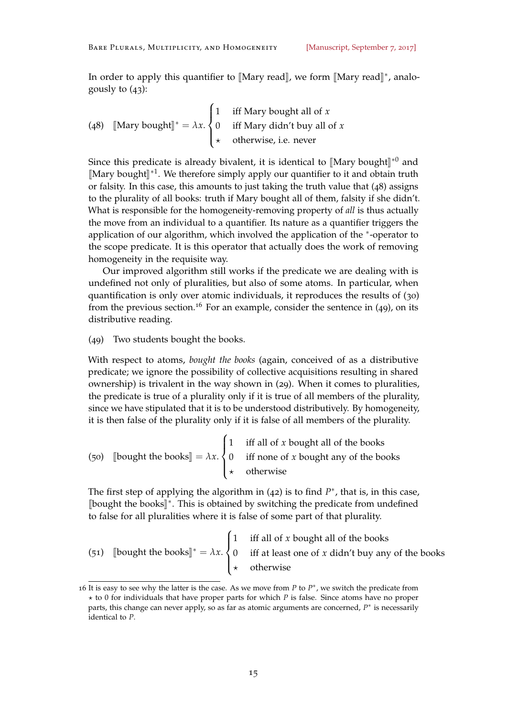In order to apply this quantifier to  $[Mary read]$ , we form  $[Mary read]$ <sup>\*</sup>, analo-<br>sexuals to  $(a)$ . gously to  $(43)$  $(43)$  $(43)$ :

(48) [Mary bought]]\* = 
$$
\lambda x
$$
.  
\n
$$
\begin{cases}\n1 & \text{iff Mary bought all of } x \\
0 & \text{iff Mary didn't buy all of } x \\
\star & \text{otherwise, i.e. never}\n\end{cases}
$$

Since this predicate is already bivalent, it is identical to  $[Mary bought]^*{}^0$  and  $[Mary bought]^*{}^1$ . We therefore simply angly sure quantifier to it and abtain truth [Mary bought]<sup>∗1</sup>. We therefore simply apply our quantifier to it and obtain truth  $\alpha$ <sup>1</sup> their case this amounts to just taking the truth value that ( $\alpha$ <sup>0</sup>) assigned or falsity. In this case, this amounts to just taking the truth value that (48) assigns to the plurality of all books: truth if Mary bought all of them, falsity if she didn't. What is responsible for the homogeneity-removing property of *all* is thus actually the move from an individual to a quantifier. Its nature as a quantifier triggers the application of our algorithm, which involved the application of the <sup>\*</sup>-operator to the scope predicate. It is this operator that actually does the work of removing homogeneity in the requisite way.

Our improved algorithm still works if the predicate we are dealing with is undefined not only of pluralities, but also of some atoms. In particular, when quantification is only over atomic individuals, it reproduces the results of ([30](#page-10-1)) from the previous section.<sup>16</sup> For an example, consider the sentence in  $(49)$ , on its distributive reading.

(49) Two students bought the books.

With respect to atoms, *bought the books* (again, conceived of as a distributive predicate; we ignore the possibility of collective acquisitions resulting in shared ownership) is trivalent in the way shown in ([29](#page-10-2)). When it comes to pluralities, the predicate is true of a plurality only if it is true of all members of the plurality, since we have stipulated that it is to be understood distributively. By homogeneity, it is then false of the plurality only if it is false of all members of the plurality.

(50) [bought the books] =  $\lambda x$ .  $\sqrt{ }$  $\int$  $\overline{\mathcal{L}}$ 1 iff all of *x* bought all of the books 0 iff none of *x* bought any of the books  $\star$  otherwise

The first step of applying the algorithm in  $(42)$  $(42)$  $(42)$  is to find  $P^*$ , that is, in this case, [bought the books]<sup>∗</sup>. This is obtained by switching the predicate from undefined<br>to false fax all pluralities where it is false af serve next of that plurality to false for all pluralities where it is false of some part of that plurality.

|  | $\int$ 1 iff all of <i>x</i> bought all of the books                                                       |
|--|------------------------------------------------------------------------------------------------------------|
|  | (51) [bought the books] <sup>*</sup> = $\lambda x$ . { 0 iff at least one of x didn't buy any of the books |
|  | $\star$ otherwise                                                                                          |

<sup>16</sup> It is easy to see why the latter is the case. As we move from  $P$  to  $P^*$ , we switch the predicate from  $\star$  to 0 for individuals that have proper parts for which *P* is false. Since atoms have no proper parts, this change can never apply, so as far as atomic arguments are concerned, *P*<sup>\*</sup> is necessarily identical to *P*.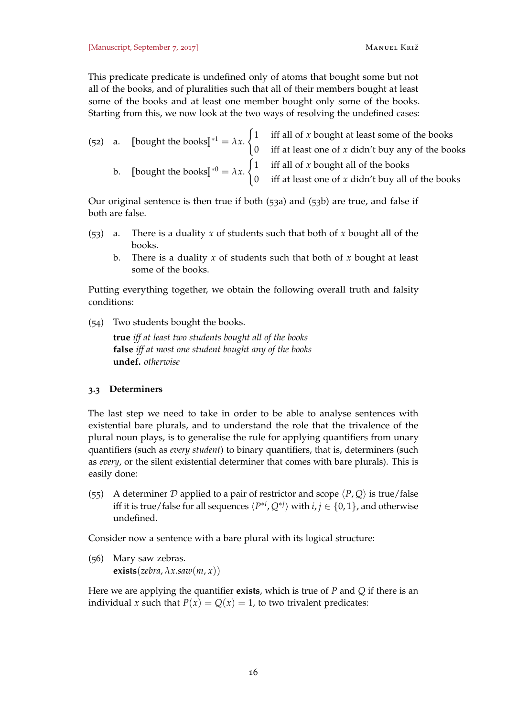This predicate predicate is undefined only of atoms that bought some but not all of the books, and of pluralities such that all of their members bought at least some of the books and at least one member bought only some of the books. Starting from this, we now look at the two ways of resolving the undefined cases:

|  |  | (52) a. [bought the books] <sup>*1</sup> = $\lambda x$ . $\begin{cases} 1 & \text{iff all of } x \text{ bought at least some of the books} \\ 0 & \text{iff at least one of } x \text{ didn't buy any of the books} \end{cases}$ |                                                                                                       |
|--|--|----------------------------------------------------------------------------------------------------------------------------------------------------------------------------------------------------------------------------------|-------------------------------------------------------------------------------------------------------|
|  |  |                                                                                                                                                                                                                                  |                                                                                                       |
|  |  | b. [bought the books] <sup>*0</sup> = $\lambda x$ . $\begin{cases} 1 & \text{iff all of } x \text{ bought all of the books} \\ 0 & \text{otherwise} \end{cases}$                                                                 |                                                                                                       |
|  |  |                                                                                                                                                                                                                                  | $\begin{pmatrix} 0 & \text{iff at least one of } x \text{ didn't buy all of the books} \end{pmatrix}$ |

Our original sentence is then true if both (53a) and (53b) are true, and false if both are false.

- (53) a. There is a duality *x* of students such that both of *x* bought all of the books.
	- b. There is a duality *x* of students such that both of *x* bought at least some of the books.

Putting everything together, we obtain the following overall truth and falsity conditions:

(54) Two students bought the books.

**true** *iff at least two students bought all of the books* **false** *iff at most one student bought any of the books* **undef.** *otherwise*

# **3.3 Determiners**

The last step we need to take in order to be able to analyse sentences with existential bare plurals, and to understand the role that the trivalence of the plural noun plays, is to generalise the rule for applying quantifiers from unary quantifiers (such as *every student*) to binary quantifiers, that is, determiners (such as *every*, or the silent existential determiner that comes with bare plurals). This is easily done:

(55) A determiner D applied to a pair of restrictor and scope  $\langle P, Q \rangle$  is true/false iff it is true/false for all sequences  $\langle P^{*i},Q^{*j}\rangle$  with  $i,j\in\{0,1\}$ , and otherwise undefined.

Consider now a sentence with a bare plural with its logical structure:

<span id="page-15-0"></span>(56) Mary saw zebras.  $\textbf{exists}(zebra, \lambda x \text{.} saw(m, x))$ 

Here we are applying the quantifier **exists**, which is true of *P* and *Q* if there is an individual *x* such that  $P(x) = Q(x) = 1$ , to two trivalent predicates: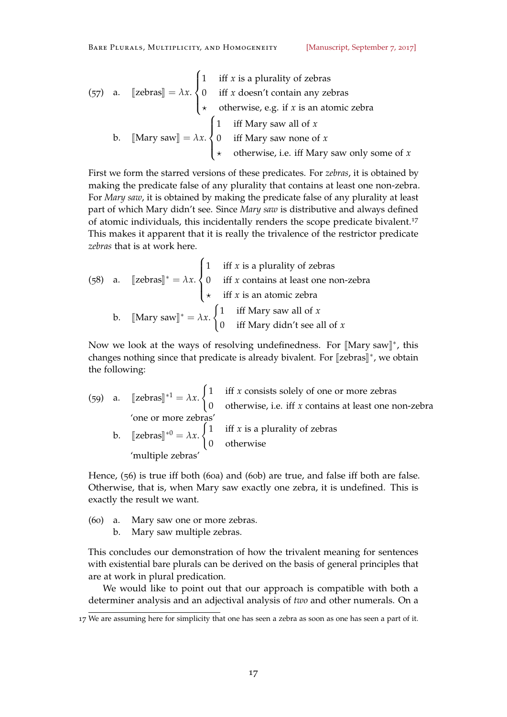(57) a. 
$$
[\text{zebras}] = \lambda x. \begin{cases} 1 & \text{iff } x \text{ is a plurality of zebras} \\ 0 & \text{iff } x \text{ doesn't contain any zebras} \\ \star & \text{otherwise, e.g. if } x \text{ is an atomic zebra} \end{cases}
$$
  
b. 
$$
[\text{Mary saw}] = \lambda x. \begin{cases} 1 & \text{iff Mary saw all of } x \\ 0 & \text{iff Mary saw none of } x \\ \star & \text{otherwise, i.e. iff Mary saw only some of } x \end{cases}
$$

First we form the starred versions of these predicates. For *zebras*, it is obtained by making the predicate false of any plurality that contains at least one non-zebra. For *Mary saw*, it is obtained by making the predicate false of any plurality at least part of which Mary didn't see. Since *Mary saw* is distributive and always defined of atomic individuals, this incidentally renders the scope predicate bivalent.<sup>17</sup> This makes it apparent that it is really the trivalence of the restrictor predicate *zebras* that is at work here.

(58) a. 
$$
[\text{zebras}]^* = \lambda x. \begin{cases} 1 & \text{iff } x \text{ is a plurality of zebras} \\ 0 & \text{iff } x \text{ contains at least one non-zebra} \\ \star & \text{iff } x \text{ is an atomic zebra} \end{cases}
$$
  
b. 
$$
[\text{Mary saw}]^* = \lambda x. \begin{cases} 1 & \text{iff Mary saw all of } x \\ 0 & \text{iff Mary didn't see all of } x \end{cases}
$$

Now we look at the ways of resolving undefinedness. For  $[Mary saw]$ <sup>\*</sup>, this changes nothing since that predicate is already bivalent. For [zebras]<sup>∗</sup>, we obtain<br><sup>∗</sup>he falleying: the following:

(59) a.  $[\text{zebras}]^{*1} = \lambda x$ .  $\int$  1 iff *x* consists solely of one or more zebras 0 otherwise, i.e. iff *x* contains at least one non-zebra 'one or more zebras' b.  $[zebras]^{\ast 0} = \lambda x$ .  $\int$  1 iff *x* is a plurality of zebras 0 otherwise 'multiple zebras'

Hence, ([56](#page-15-0)) is true iff both (60a) and (60b) are true, and false iff both are false. Otherwise, that is, when Mary saw exactly one zebra, it is undefined. This is exactly the result we want.

- (60) a. Mary saw one or more zebras.
	- b. Mary saw multiple zebras.

This concludes our demonstration of how the trivalent meaning for sentences with existential bare plurals can be derived on the basis of general principles that are at work in plural predication.

We would like to point out that our approach is compatible with both a determiner analysis and an adjectival analysis of *two* and other numerals. On a

<sup>17</sup> We are assuming here for simplicity that one has seen a zebra as soon as one has seen a part of it.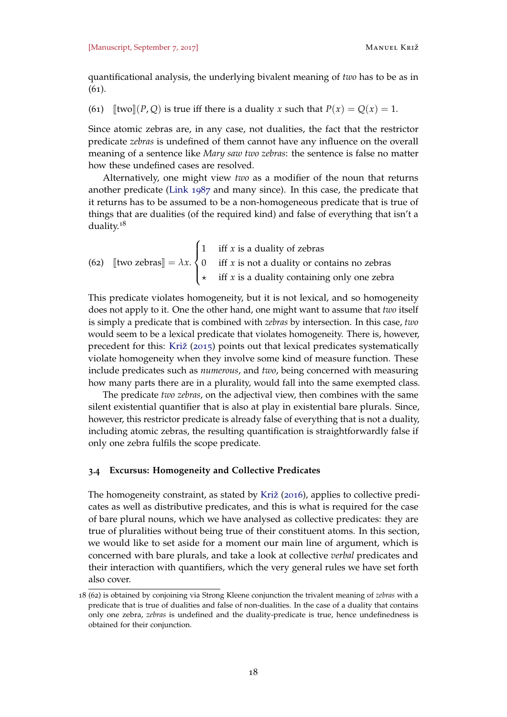quantificational analysis, the underlying bivalent meaning of *two* has to be as in (61).

(61)  $\lbrack \lbrack \text{two} \rbrack (P, Q)$  is true iff there is a duality *x* such that  $P(x) = Q(x) = 1$ .

Since atomic zebras are, in any case, not dualities, the fact that the restrictor predicate *zebras* is undefined of them cannot have any influence on the overall meaning of a sentence like *Mary saw two zebras*: the sentence is false no matter how these undefined cases are resolved.

Alternatively, one might view *two* as a modifier of the noun that returns another predicate [\(Link](#page-37-9) [1987](#page-37-9) and many since). In this case, the predicate that it returns has to be assumed to be a non-homogeneous predicate that is true of things that are dualities (of the required kind) and false of everything that isn't a duality.<sup>18</sup>

<span id="page-17-0"></span>(62) [two zebras] = 
$$
\lambda x
$$
.  

$$
\begin{cases} 1 & \text{iff } x \text{ is a duality of zebras} \\ 0 & \text{iff } x \text{ is not a duality or contains no zebras} \\ \star & \text{iff } x \text{ is a duality containing only one zebra} \end{cases}
$$

This predicate violates homogeneity, but it is not lexical, and so homogeneity does not apply to it. One the other hand, one might want to assume that *two* itself is simply a predicate that is combined with *zebras* by intersection. In this case, *two* would seem to be a lexical predicate that violates homogeneity. There is, however, precedent for this: [Križ](#page-36-3) ([2015](#page-36-3)) points out that lexical predicates systematically violate homogeneity when they involve some kind of measure function. These include predicates such as *numerous*, and *two*, being concerned with measuring how many parts there are in a plurality, would fall into the same exempted class.

The predicate *two zebras*, on the adjectival view, then combines with the same silent existential quantifier that is also at play in existential bare plurals. Since, however, this restrictor predicate is already false of everything that is not a duality, including atomic zebras, the resulting quantification is straightforwardly false if only one zebra fulfils the scope predicate.

#### <span id="page-17-1"></span>**3.4 Excursus: Homogeneity and Collective Predicates**

The homogeneity constraint, as stated by [Križ](#page-36-7) ([2016](#page-36-7)), applies to collective predicates as well as distributive predicates, and this is what is required for the case of bare plural nouns, which we have analysed as collective predicates: they are true of pluralities without being true of their constituent atoms. In this section, we would like to set aside for a moment our main line of argument, which is concerned with bare plurals, and take a look at collective *verbal* predicates and their interaction with quantifiers, which the very general rules we have set forth also cover.

<sup>18</sup> ([62](#page-17-0)) is obtained by conjoining via Strong Kleene conjunction the trivalent meaning of *zebras* with a predicate that is true of dualities and false of non-dualities. In the case of a duality that contains only one zebra, *zebras* is undefined and the duality-predicate is true, hence undefinedness is obtained for their conjunction.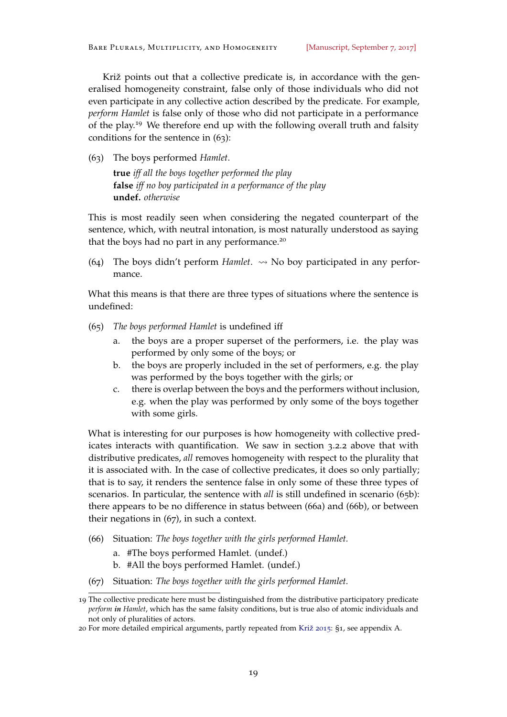Križ points out that a collective predicate is, in accordance with the generalised homogeneity constraint, false only of those individuals who did not even participate in any collective action described by the predicate. For example, *perform Hamlet* is false only of those who did not participate in a performance of the play.<sup>19</sup> We therefore end up with the following overall truth and falsity conditions for the sentence in (63):

(63) The boys performed *Hamlet*.

**true** *iff all the boys together performed the play* **false** *iff no boy participated in a performance of the play* **undef.** *otherwise*

This is most readily seen when considering the negated counterpart of the sentence, which, with neutral intonation, is most naturally understood as saying that the boys had no part in any performance.<sup>20</sup>

(64) The boys didn't perform *Hamlet*.  $\rightsquigarrow$  No boy participated in any performance.

What this means is that there are three types of situations where the sentence is undefined:

- (65) *The boys performed Hamlet* is undefined iff
	- a. the boys are a proper superset of the performers, i.e. the play was performed by only some of the boys; or
	- b. the boys are properly included in the set of performers, e.g. the play was performed by the boys together with the girls; or
	- c. there is overlap between the boys and the performers without inclusion, e.g. when the play was performed by only some of the boys together with some girls.

What is interesting for our purposes is how homogeneity with collective predicates interacts with quantification. We saw in section [3](#page-11-1).2.2 above that with distributive predicates, *all* removes homogeneity with respect to the plurality that it is associated with. In the case of collective predicates, it does so only partially; that is to say, it renders the sentence false in only some of these three types of scenarios. In particular, the sentence with *all* is still undefined in scenario (65b): there appears to be no difference in status between (66a) and (66b), or between their negations in (67), in such a context.

- (66) Situation: *The boys together with the girls performed Hamlet.*
	- a. #The boys performed Hamlet. (undef.)
	- b. #All the boys performed Hamlet. (undef.)
- (67) Situation: *The boys together with the girls performed Hamlet.*

<sup>19</sup> The collective predicate here must be distinguished from the distributive participatory predicate *perform in Hamlet*, which has the same falsity conditions, but is true also of atomic individuals and not only of pluralities of actors.

<sup>20</sup> For more detailed empirical arguments, partly repeated from [Križ](#page-36-3) [2015](#page-36-3): §1, see appendix [A.](#page-38-2)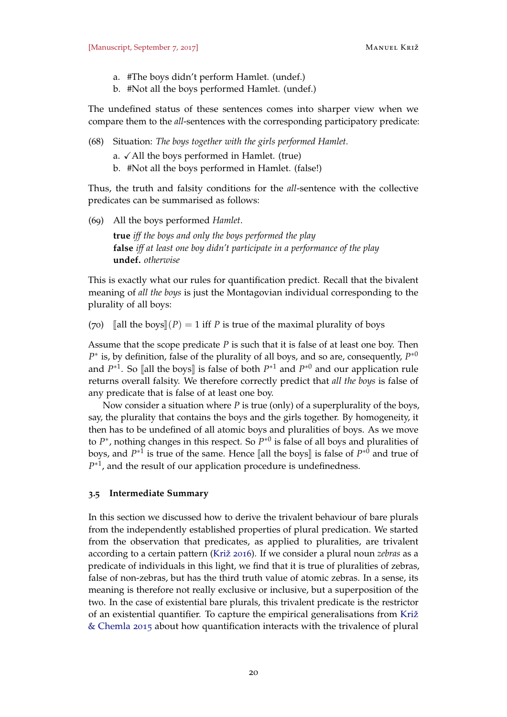- a. #The boys didn't perform Hamlet. (undef.)
- b. #Not all the boys performed Hamlet. (undef.)

The undefined status of these sentences comes into sharper view when we compare them to the *all*-sentences with the corresponding participatory predicate:

(68) Situation: *The boys together with the girls performed Hamlet.*

```
a. \checkmark All the boys performed in Hamlet. (true)
```
b. #Not all the boys performed in Hamlet. (false!)

Thus, the truth and falsity conditions for the *all*-sentence with the collective predicates can be summarised as follows:

(69) All the boys performed *Hamlet*.

**true** *iff the boys and only the boys performed the play* **false** *iff at least one boy didn't participate in a performance of the play* **undef.** *otherwise*

This is exactly what our rules for quantification predict. Recall that the bivalent meaning of *all the boys* is just the Montagovian individual corresponding to the plurality of all boys:

(70) [all the boys](*P*) = 1 iff *P* is true of the maximal plurality of boys

Assume that the scope predicate *P* is such that it is false of at least one boy. Then *P*<sup>∗</sup> is, by definition, false of the plurality of all boys, and so are, consequently, *P*<sup>∗0</sup> and  $P^{*1}$ . So [all the boys] is false of both  $P^{*1}$  and  $P^{*0}$  and our application rule returns overall falsity. We therefore correctly predict that *all the boys* is false of any predicate that is false of at least one boy.

Now consider a situation where *P* is true (only) of a superplurality of the boys, say, the plurality that contains the boys and the girls together. By homogeneity, it then has to be undefined of all atomic boys and pluralities of boys. As we move to  $P^*$ , nothing changes in this respect. So  $P^{*0}$  is false of all boys and pluralities of boys, and  $P^{*1}$  is true of the same. Hence [all the boys] is false of  $P^{*0}$  and true of  $P^{*1}$  and the gravit of any condition graves due is undefinedness.  $P^{*1}$ , and the result of our application procedure is undefinedness.

### **3.5 Intermediate Summary**

In this section we discussed how to derive the trivalent behaviour of bare plurals from the independently established properties of plural predication. We started from the observation that predicates, as applied to pluralities, are trivalent according to a certain pattern [\(Križ](#page-36-7) [2016](#page-36-7)). If we consider a plural noun *zebras* as a predicate of individuals in this light, we find that it is true of pluralities of zebras, false of non-zebras, but has the third truth value of atomic zebras. In a sense, its meaning is therefore not really exclusive or inclusive, but a superposition of the two. In the case of existential bare plurals, this trivalent predicate is the restrictor of an existential quantifier. To capture the empirical generalisations from [Križ](#page-36-8) [& Chemla](#page-36-8) [2015](#page-36-8) about how quantification interacts with the trivalence of plural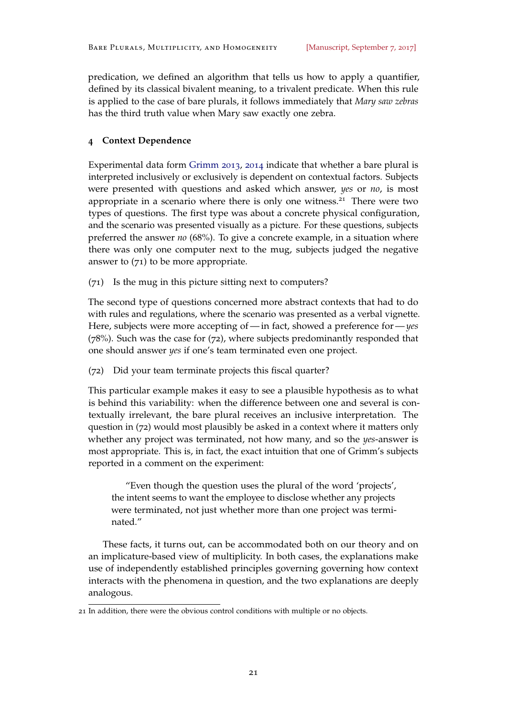predication, we defined an algorithm that tells us how to apply a quantifier, defined by its classical bivalent meaning, to a trivalent predicate. When this rule is applied to the case of bare plurals, it follows immediately that *Mary saw zebras* has the third truth value when Mary saw exactly one zebra.

# <span id="page-20-0"></span>**4 Context Dependence**

Experimental data form [Grimm](#page-36-11) [2013](#page-36-11), [2014](#page-36-12) indicate that whether a bare plural is interpreted inclusively or exclusively is dependent on contextual factors. Subjects were presented with questions and asked which answer, *yes* or *no*, is most appropriate in a scenario where there is only one witness. $21$  There were two types of questions. The first type was about a concrete physical configuration, and the scenario was presented visually as a picture. For these questions, subjects preferred the answer *no* (68%). To give a concrete example, in a situation where there was only one computer next to the mug, subjects judged the negative answer to  $(71)$  to be more appropriate.

<span id="page-20-2"></span>(71) Is the mug in this picture sitting next to computers?

The second type of questions concerned more abstract contexts that had to do with rules and regulations, where the scenario was presented as a verbal vignette. Here, subjects were more accepting of— in fact, showed a preference for—*yes* (78%). Such was the case for (72), where subjects predominantly responded that one should answer *yes* if one's team terminated even one project.

<span id="page-20-1"></span>(72) Did your team terminate projects this fiscal quarter?

This particular example makes it easy to see a plausible hypothesis as to what is behind this variability: when the difference between one and several is contextually irrelevant, the bare plural receives an inclusive interpretation. The question in (72) would most plausibly be asked in a context where it matters only whether any project was terminated, not how many, and so the *yes*-answer is most appropriate. This is, in fact, the exact intuition that one of Grimm's subjects reported in a comment on the experiment:

"Even though the question uses the plural of the word 'projects', the intent seems to want the employee to disclose whether any projects were terminated, not just whether more than one project was terminated."

These facts, it turns out, can be accommodated both on our theory and on an implicature-based view of multiplicity. In both cases, the explanations make use of independently established principles governing governing how context interacts with the phenomena in question, and the two explanations are deeply analogous.

<span id="page-20-3"></span><sup>21</sup> In addition, there were the obvious control conditions with multiple or no objects.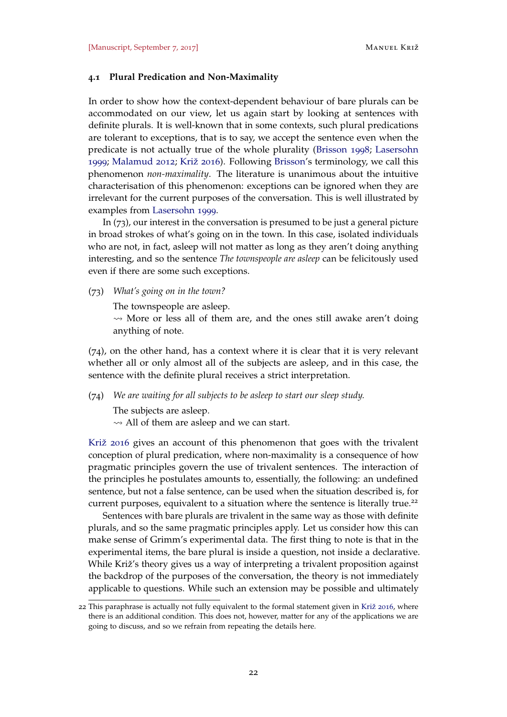## **4.1 Plural Predication and Non-Maximality**

In order to show how the context-dependent behaviour of bare plurals can be accommodated on our view, let us again start by looking at sentences with definite plurals. It is well-known that in some contexts, such plural predications are tolerant to exceptions, that is to say, we accept the sentence even when the predicate is not actually true of the whole plurality [\(Brisson](#page-35-2) [1998](#page-35-2); [Lasersohn](#page-36-13) [1999](#page-36-13); [Malamud](#page-37-10) [2012](#page-37-10); [Križ](#page-36-7) [2016](#page-36-7)). Following [Brisson'](#page-35-2)s terminology, we call this phenomenon *non-maximality*. The literature is unanimous about the intuitive characterisation of this phenomenon: exceptions can be ignored when they are irrelevant for the current purposes of the conversation. This is well illustrated by examples from [Lasersohn](#page-36-13) [1999](#page-36-13).

In (73), our interest in the conversation is presumed to be just a general picture in broad strokes of what's going on in the town. In this case, isolated individuals who are not, in fact, asleep will not matter as long as they aren't doing anything interesting, and so the sentence *The townspeople are asleep* can be felicitously used even if there are some such exceptions.

(73) *What's going on in the town?*

The townspeople are asleep.

 $\rightsquigarrow$  More or less all of them are, and the ones still awake aren't doing anything of note.

(74), on the other hand, has a context where it is clear that it is very relevant whether all or only almost all of the subjects are asleep, and in this case, the sentence with the definite plural receives a strict interpretation.

(74) *We are waiting for all subjects to be asleep to start our sleep study.*

The subjects are asleep.

 $\rightsquigarrow$  All of them are asleep and we can start.

[Križ](#page-36-7) [2016](#page-36-7) gives an account of this phenomenon that goes with the trivalent conception of plural predication, where non-maximality is a consequence of how pragmatic principles govern the use of trivalent sentences. The interaction of the principles he postulates amounts to, essentially, the following: an undefined sentence, but not a false sentence, can be used when the situation described is, for current purposes, equivalent to a situation where the sentence is literally true.<sup>22</sup>

Sentences with bare plurals are trivalent in the same way as those with definite plurals, and so the same pragmatic principles apply. Let us consider how this can make sense of Grimm's experimental data. The first thing to note is that in the experimental items, the bare plural is inside a question, not inside a declarative. While Križ's theory gives us a way of interpreting a trivalent proposition against the backdrop of the purposes of the conversation, the theory is not immediately applicable to questions. While such an extension may be possible and ultimately

<sup>22</sup> This paraphrase is actually not fully equivalent to the formal statement given in [Križ](#page-36-7) [2016](#page-36-7), where there is an additional condition. This does not, however, matter for any of the applications we are going to discuss, and so we refrain from repeating the details here.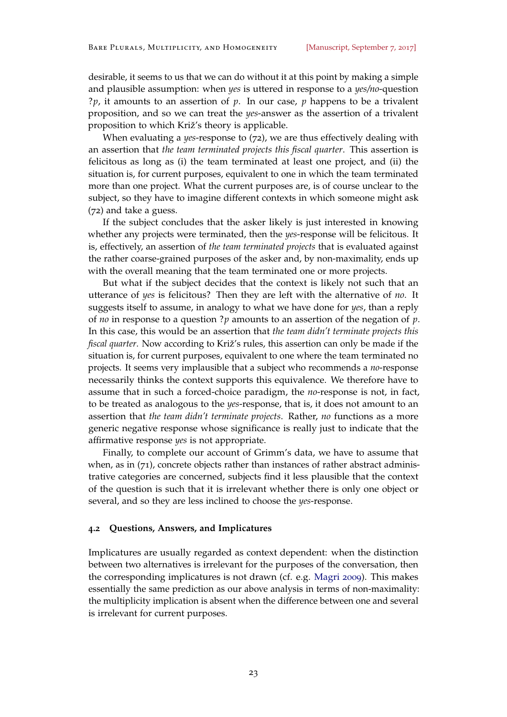desirable, it seems to us that we can do without it at this point by making a simple and plausible assumption: when *yes* is uttered in response to a *yes/no*-question ?*p*, it amounts to an assertion of *p*. In our case, *p* happens to be a trivalent proposition, and so we can treat the *yes*-answer as the assertion of a trivalent proposition to which Križ's theory is applicable.

When evaluating a *yes*-response to ([72](#page-20-1)), we are thus effectively dealing with an assertion that *the team terminated projects this fiscal quarter*. This assertion is felicitous as long as (i) the team terminated at least one project, and (ii) the situation is, for current purposes, equivalent to one in which the team terminated more than one project. What the current purposes are, is of course unclear to the subject, so they have to imagine different contexts in which someone might ask ([72](#page-20-1)) and take a guess.

If the subject concludes that the asker likely is just interested in knowing whether any projects were terminated, then the *yes*-response will be felicitous. It is, effectively, an assertion of *the team terminated projects* that is evaluated against the rather coarse-grained purposes of the asker and, by non-maximality, ends up with the overall meaning that the team terminated one or more projects.

But what if the subject decides that the context is likely not such that an utterance of *yes* is felicitous? Then they are left with the alternative of *no*. It suggests itself to assume, in analogy to what we have done for *yes*, than a reply of *no* in response to a question ?*p* amounts to an assertion of the negation of *p*. In this case, this would be an assertion that *the team didn't terminate projects this fiscal quarter*. Now according to Križ's rules, this assertion can only be made if the situation is, for current purposes, equivalent to one where the team terminated no projects. It seems very implausible that a subject who recommends a *no*-response necessarily thinks the context supports this equivalence. We therefore have to assume that in such a forced-choice paradigm, the *no*-response is not, in fact, to be treated as analogous to the *yes*-response, that is, it does not amount to an assertion that *the team didn't terminate projects*. Rather, *no* functions as a more generic negative response whose significance is really just to indicate that the affirmative response *yes* is not appropriate.

Finally, to complete our account of Grimm's data, we have to assume that when, as in  $(71)$  $(71)$  $(71)$ , concrete objects rather than instances of rather abstract administrative categories are concerned, subjects find it less plausible that the context of the question is such that it is irrelevant whether there is only one object or several, and so they are less inclined to choose the *yes*-response.

#### **4.2 Questions, Answers, and Implicatures**

Implicatures are usually regarded as context dependent: when the distinction between two alternatives is irrelevant for the purposes of the conversation, then the corresponding implicatures is not drawn (cf. e.g. [Magri](#page-37-11) [2009](#page-37-11)). This makes essentially the same prediction as our above analysis in terms of non-maximality: the multiplicity implication is absent when the difference between one and several is irrelevant for current purposes.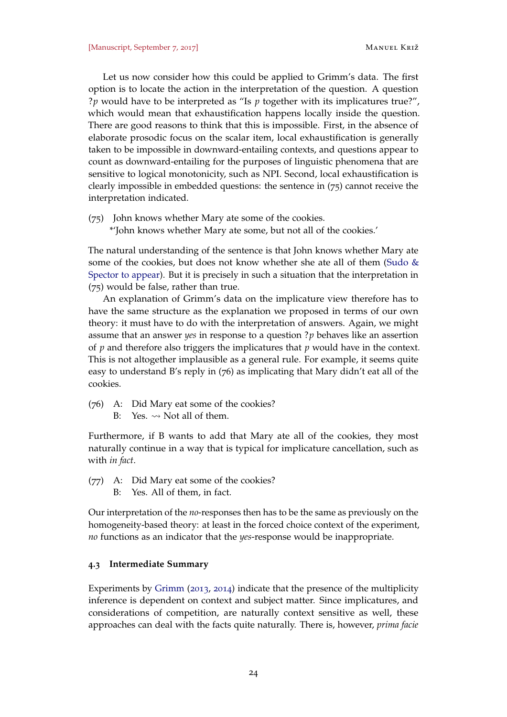Let us now consider how this could be applied to Grimm's data. The first option is to locate the action in the interpretation of the question. A question ?*p* would have to be interpreted as "Is *p* together with its implicatures true?", which would mean that exhaustification happens locally inside the question. There are good reasons to think that this is impossible. First, in the absence of elaborate prosodic focus on the scalar item, local exhaustification is generally taken to be impossible in downward-entailing contexts, and questions appear to count as downward-entailing for the purposes of linguistic phenomena that are sensitive to logical monotonicity, such as NPI. Second, local exhaustification is clearly impossible in embedded questions: the sentence in (75) cannot receive the interpretation indicated.

(75) John knows whether Mary ate some of the cookies.

\*'John knows whether Mary ate some, but not all of the cookies.'

The natural understanding of the sentence is that John knows whether Mary ate some of the cookies, but does not know whether she ate all of them [\(Sudo &](#page-37-12) [Spector](#page-37-12) [to appear\)](#page-37-12). But it is precisely in such a situation that the interpretation in (75) would be false, rather than true.

An explanation of Grimm's data on the implicature view therefore has to have the same structure as the explanation we proposed in terms of our own theory: it must have to do with the interpretation of answers. Again, we might assume that an answer *yes* in response to a question ?*p* behaves like an assertion of *p* and therefore also triggers the implicatures that *p* would have in the context. This is not altogether implausible as a general rule. For example, it seems quite easy to understand B's reply in (76) as implicating that Mary didn't eat all of the cookies.

- (76) A: Did Mary eat some of the cookies?
	- B: Yes.  $\rightsquigarrow$  Not all of them.

Furthermore, if B wants to add that Mary ate all of the cookies, they most naturally continue in a way that is typical for implicature cancellation, such as with *in fact*.

- (77) A: Did Mary eat some of the cookies?
	- B: Yes. All of them, in fact.

Our interpretation of the *no*-responses then has to be the same as previously on the homogeneity-based theory: at least in the forced choice context of the experiment, *no* functions as an indicator that the *yes*-response would be inappropriate.

# **4.3 Intermediate Summary**

Experiments by [Grimm](#page-36-11) ([2013](#page-36-11), [2014](#page-36-12)) indicate that the presence of the multiplicity inference is dependent on context and subject matter. Since implicatures, and considerations of competition, are naturally context sensitive as well, these approaches can deal with the facts quite naturally. There is, however, *prima facie*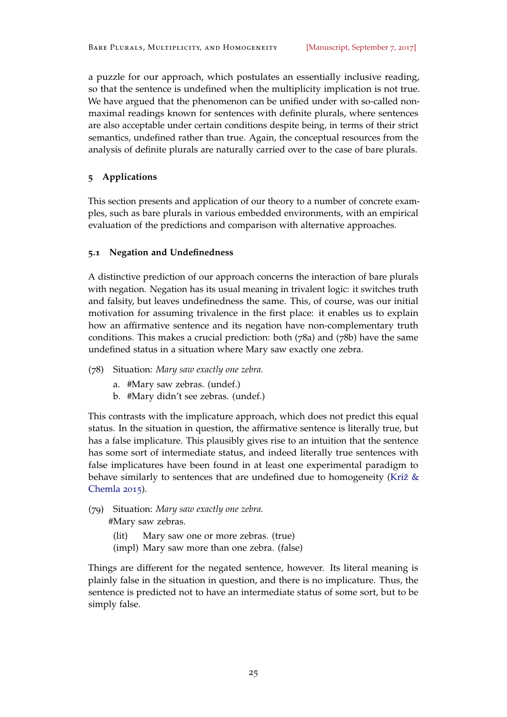a puzzle for our approach, which postulates an essentially inclusive reading, so that the sentence is undefined when the multiplicity implication is not true. We have argued that the phenomenon can be unified under with so-called nonmaximal readings known for sentences with definite plurals, where sentences are also acceptable under certain conditions despite being, in terms of their strict semantics, undefined rather than true. Again, the conceptual resources from the analysis of definite plurals are naturally carried over to the case of bare plurals.

# <span id="page-24-0"></span>**5 Applications**

This section presents and application of our theory to a number of concrete examples, such as bare plurals in various embedded environments, with an empirical evaluation of the predictions and comparison with alternative approaches.

# <span id="page-24-1"></span>**5.1 Negation and Undefinedness**

A distinctive prediction of our approach concerns the interaction of bare plurals with negation. Negation has its usual meaning in trivalent logic: it switches truth and falsity, but leaves undefinedness the same. This, of course, was our initial motivation for assuming trivalence in the first place: it enables us to explain how an affirmative sentence and its negation have non-complementary truth conditions. This makes a crucial prediction: both (78a) and (78b) have the same undefined status in a situation where Mary saw exactly one zebra.

- (78) Situation: *Mary saw exactly one zebra.*
	- a. #Mary saw zebras. (undef.)
	- b. #Mary didn't see zebras. (undef.)

This contrasts with the implicature approach, which does not predict this equal status. In the situation in question, the affirmative sentence is literally true, but has a false implicature. This plausibly gives rise to an intuition that the sentence has some sort of intermediate status, and indeed literally true sentences with false implicatures have been found in at least one experimental paradigm to behave similarly to sentences that are undefined due to homogeneity [\(Križ &](#page-36-8) [Chemla](#page-36-8) [2015](#page-36-8)).

(79) Situation: *Mary saw exactly one zebra.* #Mary saw zebras.

> (lit) Mary saw one or more zebras. (true) (impl) Mary saw more than one zebra. (false)

Things are different for the negated sentence, however. Its literal meaning is plainly false in the situation in question, and there is no implicature. Thus, the sentence is predicted not to have an intermediate status of some sort, but to be simply false.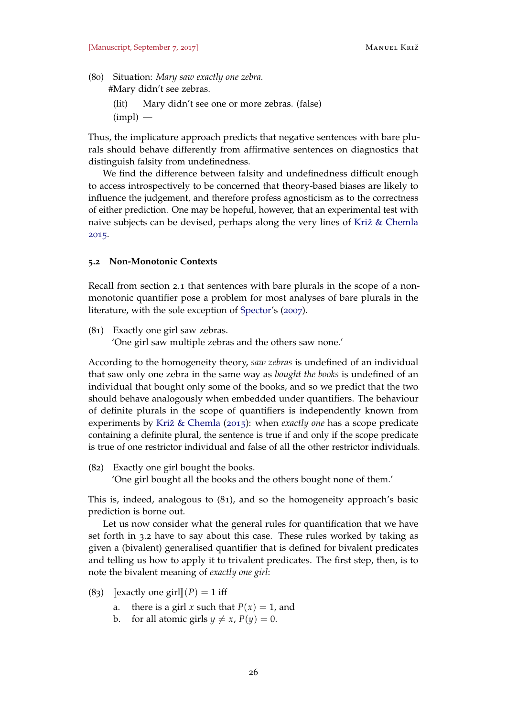(80) Situation: *Mary saw exactly one zebra.*

#Mary didn't see zebras.

(lit) Mary didn't see one or more zebras. (false)

 $(impl)$  —

Thus, the implicature approach predicts that negative sentences with bare plurals should behave differently from affirmative sentences on diagnostics that distinguish falsity from undefinedness.

We find the difference between falsity and undefinedness difficult enough to access introspectively to be concerned that theory-based biases are likely to influence the judgement, and therefore profess agnosticism as to the correctness of either prediction. One may be hopeful, however, that an experimental test with naive subjects can be devised, perhaps along the very lines of [Križ & Chemla](#page-36-8) [2015](#page-36-8).

#### <span id="page-25-0"></span>**5.2 Non-Monotonic Contexts**

Recall from section [2](#page-2-3).1 that sentences with bare plurals in the scope of a nonmonotonic quantifier pose a problem for most analyses of bare plurals in the literature, with the sole exception of [Spector'](#page-37-2)s ([2007](#page-37-2)).

(81) Exactly one girl saw zebras.

'One girl saw multiple zebras and the others saw none.'

According to the homogeneity theory, *saw zebras* is undefined of an individual that saw only one zebra in the same way as *bought the books* is undefined of an individual that bought only some of the books, and so we predict that the two should behave analogously when embedded under quantifiers. The behaviour of definite plurals in the scope of quantifiers is independently known from experiments by [Križ & Chemla](#page-36-8) ([2015](#page-36-8)): when *exactly one* has a scope predicate containing a definite plural, the sentence is true if and only if the scope predicate is true of one restrictor individual and false of all the other restrictor individuals.

(82) Exactly one girl bought the books.

'One girl bought all the books and the others bought none of them.'

This is, indeed, analogous to (81), and so the homogeneity approach's basic prediction is borne out.

Let us now consider what the general rules for quantification that we have set forth in [3](#page-9-0).2 have to say about this case. These rules worked by taking as given a (bivalent) generalised quantifier that is defined for bivalent predicates and telling us how to apply it to trivalent predicates. The first step, then, is to note the bivalent meaning of *exactly one girl*:

- (83) [exactly one girl] $(P) = 1$  iff<br>a. there is a girl x such the
	- there is a girl *x* such that  $P(x) = 1$ , and
	- b. for all atomic girls  $y \neq x$ ,  $P(y) = 0$ .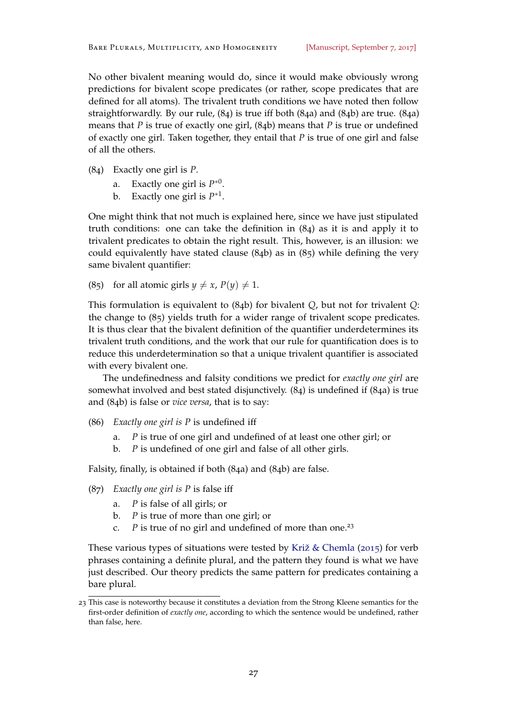No other bivalent meaning would do, since it would make obviously wrong predictions for bivalent scope predicates (or rather, scope predicates that are defined for all atoms). The trivalent truth conditions we have noted then follow straightforwardly. By our rule, (84) is true iff both (84a) and (84b) are true. (84a) means that *P* is true of exactly one girl, (84b) means that *P* is true or undefined of exactly one girl. Taken together, they entail that *P* is true of one girl and false of all the others.

- <span id="page-26-2"></span><span id="page-26-1"></span>(84) Exactly one girl is *P*.
	- a. Exactly one girl is  $P^{*0}$ .
	- b. Exactly one girl is  $P^{*1}$ .

<span id="page-26-3"></span>One might think that not much is explained here, since we have just stipulated truth conditions: one can take the definition in (84) as it is and apply it to trivalent predicates to obtain the right result. This, however, is an illusion: we could equivalently have stated clause (84b) as in (85) while defining the very same bivalent quantifier:

(85) for all atomic girls  $y \neq x$ ,  $P(y) \neq 1$ .

This formulation is equivalent to (84b) for bivalent *Q*, but not for trivalent *Q*: the change to (85) yields truth for a wider range of trivalent scope predicates. It is thus clear that the bivalent definition of the quantifier underdetermines its trivalent truth conditions, and the work that our rule for quantification does is to reduce this underdetermination so that a unique trivalent quantifier is associated with every bivalent one.

The undefinedness and falsity conditions we predict for *exactly one girl* are somewhat involved and best stated disjunctively. ([84](#page-26-1)) is undefined if (84[a\)](#page-26-2) is true and (84[b\)](#page-26-3) is false or *vice versa*, that is to say:

- (86) *Exactly one girl is P* is undefined iff
	- a. *P* is true of one girl and undefined of at least one other girl; or
	- b. *P* is undefined of one girl and false of all other girls.

Falsity, finally, is obtained if both (84[a\)](#page-26-2) and (84[b\)](#page-26-3) are false.

- (87) *Exactly one girl is P* is false iff
	- a. *P* is false of all girls; or
	- b. *P* is true of more than one girl; or
	- c. *P* is true of no girl and undefined of more than one.<sup>23</sup>

These various types of situations were tested by [Križ & Chemla](#page-36-8) ([2015](#page-36-8)) for verb phrases containing a definite plural, and the pattern they found is what we have just described. Our theory predicts the same pattern for predicates containing a bare plural.

<span id="page-26-0"></span><sup>23</sup> This case is noteworthy because it constitutes a deviation from the Strong Kleene semantics for the first-order definition of *exactly one*, according to which the sentence would be undefined, rather than false, here.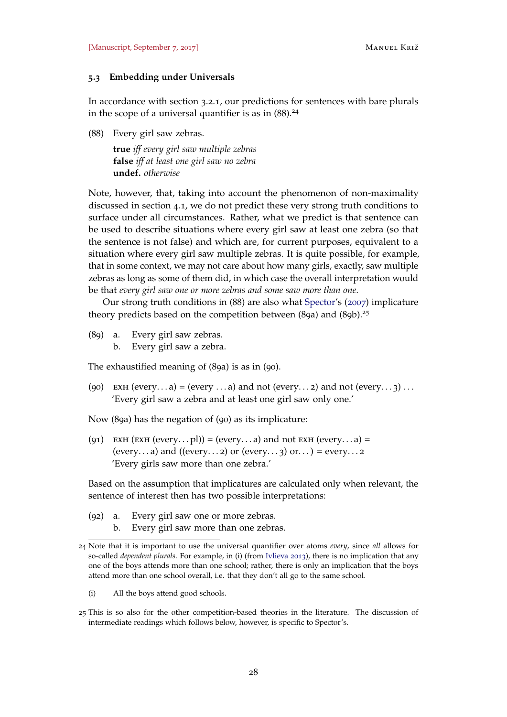## **5.3 Embedding under Universals**

In accordance with section [3](#page-9-1).2.1, our predictions for sentences with bare plurals in the scope of a universal quantifier is as in  $(88)$ .<sup>24</sup>

<span id="page-27-0"></span>(88) Every girl saw zebras.

**true** *iff every girl saw multiple zebras* **false** *iff at least one girl saw no zebra* **undef.** *otherwise*

Note, however, that, taking into account the phenomenon of non-maximality discussed in section [4](#page-20-3).1, we do not predict these very strong truth conditions to surface under all circumstances. Rather, what we predict is that sentence can be used to describe situations where every girl saw at least one zebra (so that the sentence is not false) and which are, for current purposes, equivalent to a situation where every girl saw multiple zebras. It is quite possible, for example, that in some context, we may not care about how many girls, exactly, saw multiple zebras as long as some of them did, in which case the overall interpretation would be that *every girl saw one or more zebras and some saw more than one*.

Our strong truth conditions in ([88](#page-27-0)) are also what [Spector'](#page-37-2)s ([2007](#page-37-2)) implicature theory predicts based on the competition between  $(8qa)$  and  $(8qb)$ .<sup>25</sup>

- (89) a. Every girl saw zebras.
	- b. Every girl saw a zebra.

The exhaustified meaning of (89a) is as in (90).

(90) EXH (every...a) = (every ...a) and not (every...2) and not (every...3) ... 'Every girl saw a zebra and at least one girl saw only one.'

Now (89a) has the negation of (90) as its implicature:

(91) EXH (EXH (every...pl)) = (every...a) and not EXH (every...a) = (every...a) and ((every...2) or (every...3) or...) = every...2 'Every girls saw more than one zebra.'

Based on the assumption that implicatures are calculated only when relevant, the sentence of interest then has two possible interpretations:

- (92) a. Every girl saw one or more zebras.
	- b. Every girl saw more than one zebras.

(i) All the boys attend good schools.

<sup>24</sup> Note that it is important to use the universal quantifier over atoms *every*, since *all* allows for so-called *dependent plurals*. For example, in (i) (from [Ivlieva](#page-36-0) [2013](#page-36-0)), there is no implication that any one of the boys attends more than one school; rather, there is only an implication that the boys attend more than one school overall, i.e. that they don't all go to the same school.

<sup>25</sup> This is so also for the other competition-based theories in the literature. The discussion of intermediate readings which follows below, however, is specific to Spector's.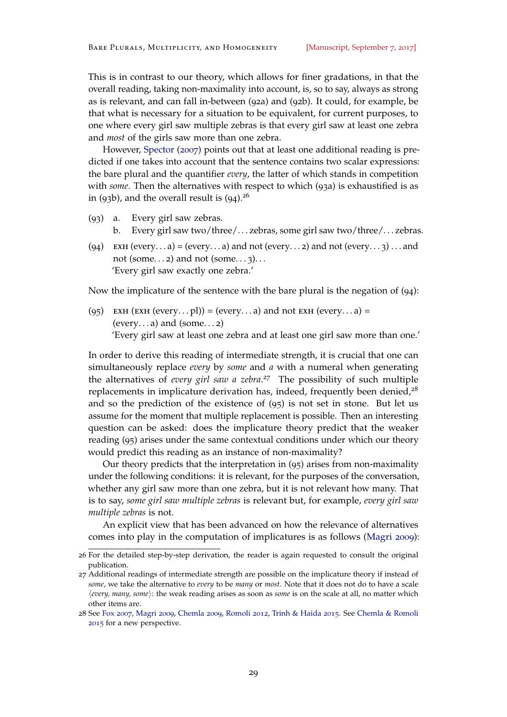This is in contrast to our theory, which allows for finer gradations, in that the overall reading, taking non-maximality into account, is, so to say, always as strong as is relevant, and can fall in-between (92a) and (92b). It could, for example, be that what is necessary for a situation to be equivalent, for current purposes, to one where every girl saw multiple zebras is that every girl saw at least one zebra and *most* of the girls saw more than one zebra.

However, [Spector](#page-37-2) ([2007](#page-37-2)) points out that at least one additional reading is predicted if one takes into account that the sentence contains two scalar expressions: the bare plural and the quantifier *every*, the latter of which stands in competition with *some*. Then the alternatives with respect to which (93a) is exhaustified is as in (93b), and the overall result is  $(94)^{26}$ 

- (93) a. Every girl saw zebras.
	- b. Every girl saw two/three/. . . zebras, some girl saw two/three/. . . zebras.
- <span id="page-28-0"></span>(94) EXH (every...a) = (every...a) and not (every...2) and not (every...3) ...and not (some...2) and not (some...3)... 'Every girl saw exactly one zebra.'

Now the implicature of the sentence with the bare plural is the negation of (94):

(95) EXH (EXH (every...pl)) = (every...a) and not EXH (every...a) = (every...a) and (some...2) 'Every girl saw at least one zebra and at least one girl saw more than one.'

In order to derive this reading of intermediate strength, it is crucial that one can simultaneously replace *every* by *some* and *a* with a numeral when generating the alternatives of *every girl saw a zebra*. <sup>27</sup> The possibility of such multiple replacements in implicature derivation has, indeed, frequently been denied, $28$ and so the prediction of the existence of (95) is not set in stone. But let us assume for the moment that multiple replacement is possible. Then an interesting question can be asked: does the implicature theory predict that the weaker reading (95) arises under the same contextual conditions under which our theory would predict this reading as an instance of non-maximality?

Our theory predicts that the interpretation in (95) arises from non-maximality under the following conditions: it is relevant, for the purposes of the conversation, whether any girl saw more than one zebra, but it is not relevant how many. That is to say, *some girl saw multiple zebras* is relevant but, for example, *every girl saw multiple zebras* is not.

An explicit view that has been advanced on how the relevance of alternatives comes into play in the computation of implicatures is as follows [\(Magri](#page-37-11) [2009](#page-37-11)):

<sup>26</sup> For the detailed step-by-step derivation, the reader is again requested to consult the original publication.

<sup>27</sup> Additional readings of intermediate strength are possible on the implicature theory if instead of *some*, we take the alternative to *every* to be *many* or *most*. Note that it does not do to have a scale h*every, many, some*i: the weak reading arises as soon as *some* is on the scale at all, no matter which other items are.

<sup>28</sup> See [Fox](#page-36-14) [2007](#page-36-14), [Magri](#page-37-11) [2009](#page-37-11), [Chemla](#page-35-3) [2009](#page-35-3), [Romoli](#page-37-13) [2012](#page-37-13), [Trinh & Haida](#page-38-3) [2015](#page-38-3). See [Chemla & Romoli](#page-35-4) [2015](#page-35-4) for a new perspective.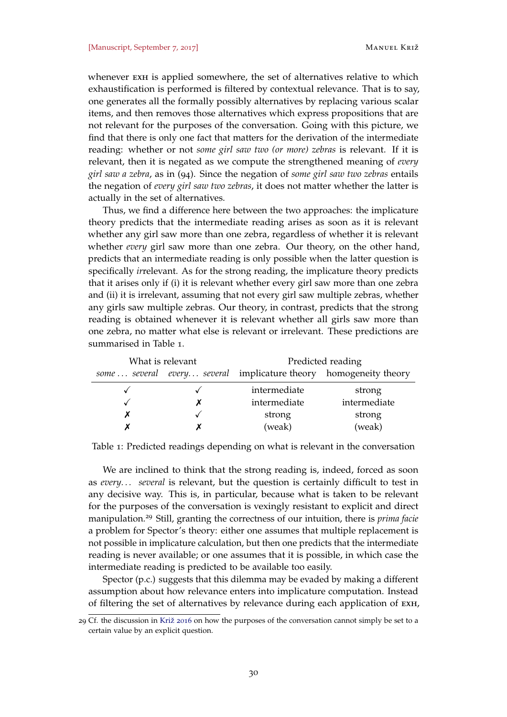whenever EXH is applied somewhere, the set of alternatives relative to which exhaustification is performed is filtered by contextual relevance. That is to say, one generates all the formally possibly alternatives by replacing various scalar items, and then removes those alternatives which express propositions that are not relevant for the purposes of the conversation. Going with this picture, we find that there is only one fact that matters for the derivation of the intermediate reading: whether or not *some girl saw two (or more) zebras* is relevant. If it is relevant, then it is negated as we compute the strengthened meaning of *every girl saw a zebra*, as in ([94](#page-28-0)). Since the negation of *some girl saw two zebras* entails the negation of *every girl saw two zebras*, it does not matter whether the latter is actually in the set of alternatives.

Thus, we find a difference here between the two approaches: the implicature theory predicts that the intermediate reading arises as soon as it is relevant whether any girl saw more than one zebra, regardless of whether it is relevant whether *every* girl saw more than one zebra. Our theory, on the other hand, predicts that an intermediate reading is only possible when the latter question is specifically *ir*relevant. As for the strong reading, the implicature theory predicts that it arises only if (i) it is relevant whether every girl saw more than one zebra and (ii) it is irrelevant, assuming that not every girl saw multiple zebras, whether any girls saw multiple zebras. Our theory, in contrast, predicts that the strong reading is obtained whenever it is relevant whether all girls saw more than one zebra, no matter what else is relevant or irrelevant. These predictions are summarised in Table [1](#page-29-0).

|                                                                   | What is relevant | Predicted reading |              |  |
|-------------------------------------------------------------------|------------------|-------------------|--------------|--|
| some  several every several implicature theory homogeneity theory |                  |                   |              |  |
|                                                                   |                  | intermediate      | strong       |  |
|                                                                   |                  | intermediate      | intermediate |  |
|                                                                   |                  | strong            | strong       |  |
|                                                                   |                  | (weak)            | (weak)       |  |

<span id="page-29-0"></span>Table 1: Predicted readings depending on what is relevant in the conversation

We are inclined to think that the strong reading is, indeed, forced as soon as *every. . . several* is relevant, but the question is certainly difficult to test in any decisive way. This is, in particular, because what is taken to be relevant for the purposes of the conversation is vexingly resistant to explicit and direct manipulation.<sup>29</sup> Still, granting the correctness of our intuition, there is *prima facie* a problem for Spector's theory: either one assumes that multiple replacement is not possible in implicature calculation, but then one predicts that the intermediate reading is never available; or one assumes that it is possible, in which case the intermediate reading is predicted to be available too easily.

Spector (p.c.) suggests that this dilemma may be evaded by making a different assumption about how relevance enters into implicature computation. Instead of filtering the set of alternatives by relevance during each application of exh,

<sup>29</sup> Cf. the discussion in [Križ](#page-36-7) [2016](#page-36-7) on how the purposes of the conversation cannot simply be set to a certain value by an explicit question.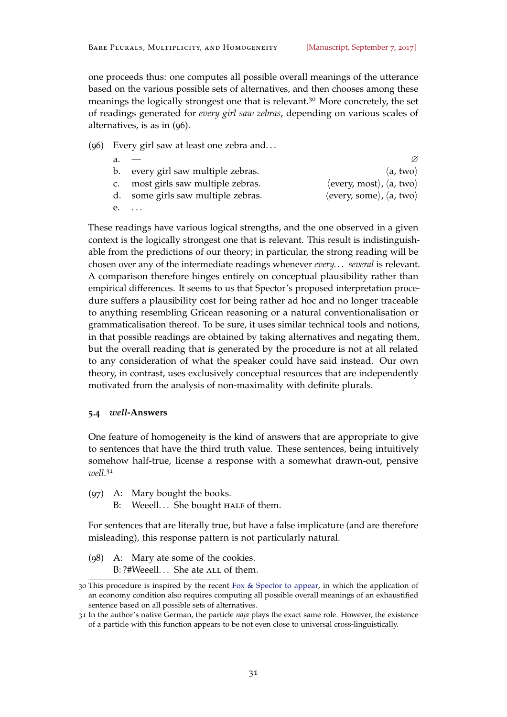one proceeds thus: one computes all possible overall meanings of the utterance based on the various possible sets of alternatives, and then chooses among these meanings the logically strongest one that is relevant.<sup>30</sup> More concretely, the set of readings generated for *every girl saw zebras*, depending on various scales of alternatives, is as in (96).

#### (96) Every girl saw at least one zebra and. . .

|    | b. every girl saw multiple zebras. | $\langle a, \text{two} \rangle$                                                      |
|----|------------------------------------|--------------------------------------------------------------------------------------|
|    | most girls saw multiple zebras.    | $\langle$ every, most $\rangle$ , $\langle$ a, two $\rangle$                         |
| d. | some girls saw multiple zebras.    | $\langle \text{every}, \text{some} \rangle$ , $\langle \text{a}, \text{two} \rangle$ |
|    | $e. \dots$                         |                                                                                      |

These readings have various logical strengths, and the one observed in a given context is the logically strongest one that is relevant. This result is indistinguishable from the predictions of our theory; in particular, the strong reading will be chosen over any of the intermediate readings whenever *every. . . several* is relevant. A comparison therefore hinges entirely on conceptual plausibility rather than empirical differences. It seems to us that Spector's proposed interpretation procedure suffers a plausibility cost for being rather ad hoc and no longer traceable to anything resembling Gricean reasoning or a natural conventionalisation or grammaticalisation thereof. To be sure, it uses similar technical tools and notions, in that possible readings are obtained by taking alternatives and negating them, but the overall reading that is generated by the procedure is not at all related to any consideration of what the speaker could have said instead. Our own theory, in contrast, uses exclusively conceptual resources that are independently motivated from the analysis of non-maximality with definite plurals.

#### **5.4** *well***-Answers**

One feature of homogeneity is the kind of answers that are appropriate to give to sentences that have the third truth value. These sentences, being intuitively somehow half-true, license a response with a somewhat drawn-out, pensive *well*. 31

- (97) A: Mary bought the books.
	- B: Weeell... She bought HALF of them.

For sentences that are literally true, but have a false implicature (and are therefore misleading), this response pattern is not particularly natural.

(98) A: Mary ate some of the cookies. B: ?#Weeell... She ate ALL of them.

<sup>30</sup> This procedure is inspired by the recent [Fox & Spector](#page-36-15) [to appear,](#page-36-15) in which the application of an economy condition also requires computing all possible overall meanings of an exhaustified sentence based on all possible sets of alternatives.

<sup>31</sup> In the author's native German, the particle *naja* plays the exact same role. However, the existence of a particle with this function appears to be not even close to universal cross-linguistically.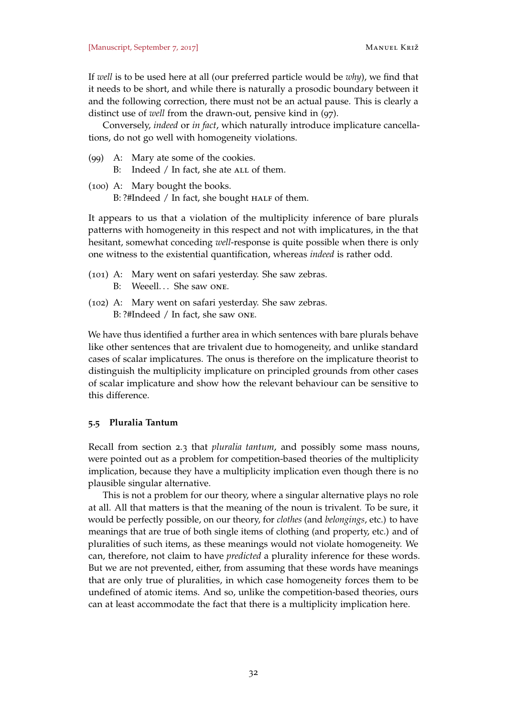If *well* is to be used here at all (our preferred particle would be *why*), we find that it needs to be short, and while there is naturally a prosodic boundary between it and the following correction, there must not be an actual pause. This is clearly a distinct use of *well* from the drawn-out, pensive kind in (97).

Conversely, *indeed* or *in fact*, which naturally introduce implicature cancellations, do not go well with homogeneity violations.

- (99) A: Mary ate some of the cookies.
	- B: Indeed  $/$  In fact, she ate ALL of them.
- (100) A: Mary bought the books. B: ?#Indeed / In fact, she bought HALF of them.

It appears to us that a violation of the multiplicity inference of bare plurals patterns with homogeneity in this respect and not with implicatures, in the that hesitant, somewhat conceding *well*-response is quite possible when there is only one witness to the existential quantification, whereas *indeed* is rather odd.

- (101) A: Mary went on safari yesterday. She saw zebras.
	- B: Weeell... She saw ONE.
- (102) A: Mary went on safari yesterday. She saw zebras. B: ?#Indeed / In fact, she saw one.

We have thus identified a further area in which sentences with bare plurals behave like other sentences that are trivalent due to homogeneity, and unlike standard cases of scalar implicatures. The onus is therefore on the implicature theorist to distinguish the multiplicity implicature on principled grounds from other cases of scalar implicature and show how the relevant behaviour can be sensitive to this difference.

## <span id="page-31-0"></span>**5.5 Pluralia Tantum**

Recall from section [2](#page-4-0).3 that *pluralia tantum*, and possibly some mass nouns, were pointed out as a problem for competition-based theories of the multiplicity implication, because they have a multiplicity implication even though there is no plausible singular alternative.

This is not a problem for our theory, where a singular alternative plays no role at all. All that matters is that the meaning of the noun is trivalent. To be sure, it would be perfectly possible, on our theory, for *clothes* (and *belongings*, etc.) to have meanings that are true of both single items of clothing (and property, etc.) and of pluralities of such items, as these meanings would not violate homogeneity. We can, therefore, not claim to have *predicted* a plurality inference for these words. But we are not prevented, either, from assuming that these words have meanings that are only true of pluralities, in which case homogeneity forces them to be undefined of atomic items. And so, unlike the competition-based theories, ours can at least accommodate the fact that there is a multiplicity implication here.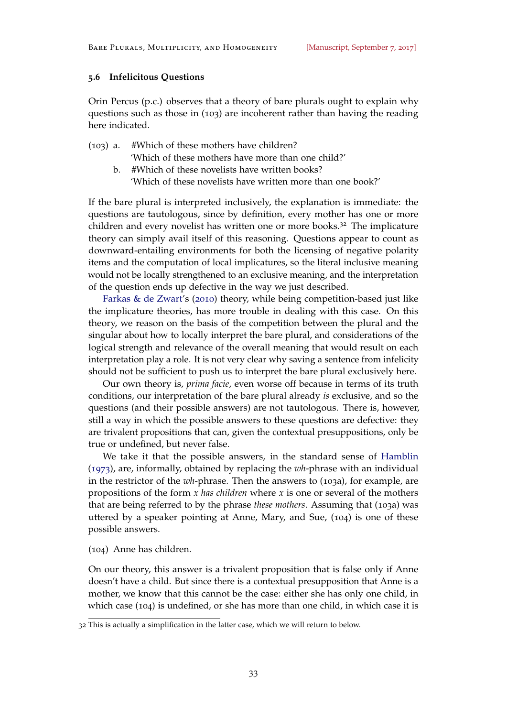## **5.6 Infelicitous Questions**

Orin Percus (p.c.) observes that a theory of bare plurals ought to explain why questions such as those in (103) are incoherent rather than having the reading here indicated.

- <span id="page-32-1"></span><span id="page-32-0"></span>(103) a. #Which of these mothers have children? 'Which of these mothers have more than one child?'
	- b. #Which of these novelists have written books? 'Which of these novelists have written more than one book?'

If the bare plural is interpreted inclusively, the explanation is immediate: the questions are tautologous, since by definition, every mother has one or more children and every novelist has written one or more books.<sup>32</sup> The implicature theory can simply avail itself of this reasoning. Questions appear to count as downward-entailing environments for both the licensing of negative polarity items and the computation of local implicatures, so the literal inclusive meaning would not be locally strengthened to an exclusive meaning, and the interpretation of the question ends up defective in the way we just described.

[Farkas & de Zwart'](#page-36-1)s ([2010](#page-36-1)) theory, while being competition-based just like the implicature theories, has more trouble in dealing with this case. On this theory, we reason on the basis of the competition between the plural and the singular about how to locally interpret the bare plural, and considerations of the logical strength and relevance of the overall meaning that would result on each interpretation play a role. It is not very clear why saving a sentence from infelicity should not be sufficient to push us to interpret the bare plural exclusively here.

Our own theory is, *prima facie*, even worse off because in terms of its truth conditions, our interpretation of the bare plural already *is* exclusive, and so the questions (and their possible answers) are not tautologous. There is, however, still a way in which the possible answers to these questions are defective: they are trivalent propositions that can, given the contextual presuppositions, only be true or undefined, but never false.

We take it that the possible answers, in the standard sense of [Hamblin](#page-36-16) ([1973](#page-36-16)), are, informally, obtained by replacing the *wh*-phrase with an individual in the restrictor of the *wh*-phrase. Then the answers to ([103](#page-32-0)a), for example, are propositions of the form *x has children* where *x* is one or several of the mothers that are being referred to by the phrase *these mothers*. Assuming that ([103](#page-32-0)a) was uttered by a speaker pointing at Anne, Mary, and Sue, (104) is one of these possible answers.

(104) Anne has children.

On our theory, this answer is a trivalent proposition that is false only if Anne doesn't have a child. But since there is a contextual presupposition that Anne is a mother, we know that this cannot be the case: either she has only one child, in which case (104) is undefined, or she has more than one child, in which case it is

<sup>32</sup> This is actually a simplification in the latter case, which we will return to below.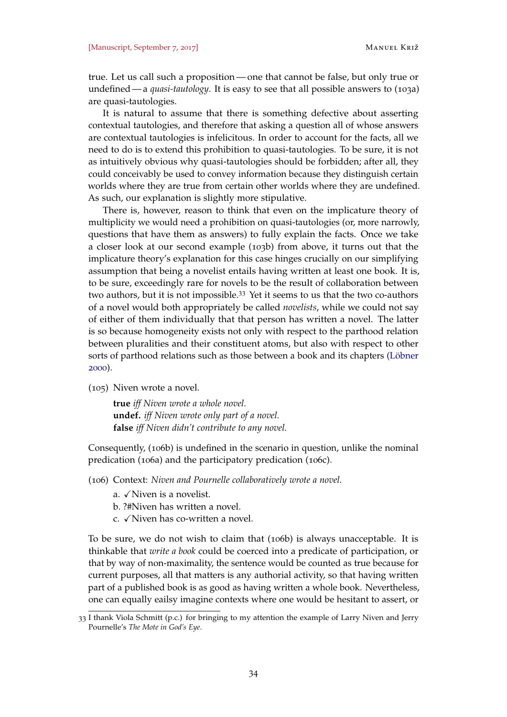true. Let us call such a proposition— one that cannot be false, but only true or undefined — a *quasi-tautology*. It is easy to see that all possible answers to ([103](#page-32-0)a) are quasi-tautologies.

It is natural to assume that there is something defective about asserting contextual tautologies, and therefore that asking a question all of whose answers are contextual tautologies is infelicitous. In order to account for the facts, all we need to do is to extend this prohibition to quasi-tautologies. To be sure, it is not as intuitively obvious why quasi-tautologies should be forbidden; after all, they could conceivably be used to convey information because they distinguish certain worlds where they are true from certain other worlds where they are undefined. As such, our explanation is slightly more stipulative.

There is, however, reason to think that even on the implicature theory of multiplicity we would need a prohibition on quasi-tautologies (or, more narrowly, questions that have them as answers) to fully explain the facts. Once we take a closer look at our second example ([103](#page-32-1)b) from above, it turns out that the implicature theory's explanation for this case hinges crucially on our simplifying assumption that being a novelist entails having written at least one book. It is, to be sure, exceedingly rare for novels to be the result of collaboration between two authors, but it is not impossible.<sup>33</sup> Yet it seems to us that the two co-authors of a novel would both appropriately be called *novelists*, while we could not say of either of them individually that that person has written a novel. The latter is so because homogeneity exists not only with respect to the parthood relation between pluralities and their constituent atoms, but also with respect to other sorts of parthood relations such as those between a book and its chapters [\(Löbner](#page-37-4) [2000](#page-37-4)).

(105) Niven wrote a novel.

**true** *iff Niven wrote a whole novel.* **undef.** *iff Niven wrote only part of a novel.* **false** *iff Niven didn't contribute to any novel.*

Consequently, (106b) is undefined in the scenario in question, unlike the nominal predication (106a) and the participatory predication (106c).

(106) Context: *Niven and Pournelle collaboratively wrote a novel.*

- a.  $\sqrt{\text{Niven}}$  is a novelist.
- b. ?#Niven has written a novel.
- $c.$   $\sqrt{N}$  Niven has co-written a novel.

To be sure, we do not wish to claim that (106b) is always unacceptable. It is thinkable that *write a book* could be coerced into a predicate of participation, or that by way of non-maximality, the sentence would be counted as true because for current purposes, all that matters is any authorial activity, so that having written part of a published book is as good as having written a whole book. Nevertheless, one can equally eailsy imagine contexts where one would be hesitant to assert, or

<sup>33</sup> I thank Viola Schmitt (p.c.) for bringing to my attention the example of Larry Niven and Jerry Pournelle's *The Mote in God's Eye*.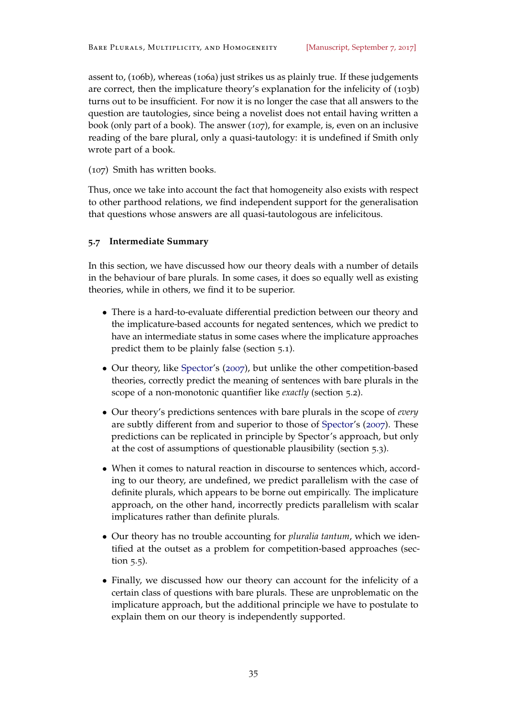assent to, (106b), whereas (106a) just strikes us as plainly true. If these judgements are correct, then the implicature theory's explanation for the infelicity of ([103](#page-32-1)b) turns out to be insufficient. For now it is no longer the case that all answers to the question are tautologies, since being a novelist does not entail having written a book (only part of a book). The answer (107), for example, is, even on an inclusive reading of the bare plural, only a quasi-tautology: it is undefined if Smith only wrote part of a book.

(107) Smith has written books.

Thus, once we take into account the fact that homogeneity also exists with respect to other parthood relations, we find independent support for the generalisation that questions whose answers are all quasi-tautologous are infelicitous.

# **5.7 Intermediate Summary**

In this section, we have discussed how our theory deals with a number of details in the behaviour of bare plurals. In some cases, it does so equally well as existing theories, while in others, we find it to be superior.

- There is a hard-to-evaluate differential prediction between our theory and the implicature-based accounts for negated sentences, which we predict to have an intermediate status in some cases where the implicature approaches predict them to be plainly false (section [5](#page-24-1).1).
- Our theory, like [Spector'](#page-37-2)s ([2007](#page-37-2)), but unlike the other competition-based theories, correctly predict the meaning of sentences with bare plurals in the scope of a non-monotonic quantifier like *exactly* (section [5](#page-25-0).2).
- Our theory's predictions sentences with bare plurals in the scope of *every* are subtly different from and superior to those of [Spector'](#page-37-2)s ([2007](#page-37-2)). These predictions can be replicated in principle by Spector's approach, but only at the cost of assumptions of questionable plausibility (section [5](#page-26-0).3).
- When it comes to natural reaction in discourse to sentences which, according to our theory, are undefined, we predict parallelism with the case of definite plurals, which appears to be borne out empirically. The implicature approach, on the other hand, incorrectly predicts parallelism with scalar implicatures rather than definite plurals.
- Our theory has no trouble accounting for *pluralia tantum*, which we identified at the outset as a problem for competition-based approaches (section [5](#page-31-0).5).
- Finally, we discussed how our theory can account for the infelicity of a certain class of questions with bare plurals. These are unproblematic on the implicature approach, but the additional principle we have to postulate to explain them on our theory is independently supported.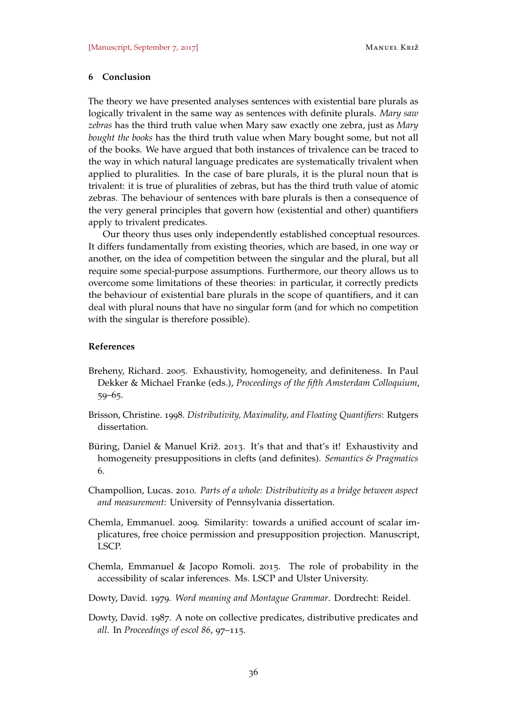#### **6 Conclusion**

The theory we have presented analyses sentences with existential bare plurals as logically trivalent in the same way as sentences with definite plurals. *Mary saw zebras* has the third truth value when Mary saw exactly one zebra, just as *Mary bought the books* has the third truth value when Mary bought some, but not all of the books. We have argued that both instances of trivalence can be traced to the way in which natural language predicates are systematically trivalent when applied to pluralities. In the case of bare plurals, it is the plural noun that is trivalent: it is true of pluralities of zebras, but has the third truth value of atomic zebras. The behaviour of sentences with bare plurals is then a consequence of the very general principles that govern how (existential and other) quantifiers apply to trivalent predicates.

Our theory thus uses only independently established conceptual resources. It differs fundamentally from existing theories, which are based, in one way or another, on the idea of competition between the singular and the plural, but all require some special-purpose assumptions. Furthermore, our theory allows us to overcome some limitations of these theories: in particular, it correctly predicts the behaviour of existential bare plurals in the scope of quantifiers, and it can deal with plural nouns that have no singular form (and for which no competition with the singular is therefore possible).

#### **References**

- <span id="page-35-0"></span>Breheny, Richard. 2005. Exhaustivity, homogeneity, and definiteness. In Paul Dekker & Michael Franke (eds.), *Proceedings of the fifth Amsterdam Colloquium*, 59–65.
- <span id="page-35-2"></span>Brisson, Christine. 1998. *Distributivity, Maximality, and Floating Quantifiers*: Rutgers dissertation.
- <span id="page-35-1"></span>Büring, Daniel & Manuel Križ. 2013. It's that and that's it! Exhaustivity and homogeneity presuppositions in clefts (and definites). *Semantics & Pragmatics* 6.
- <span id="page-35-7"></span>Champollion, Lucas. 2010. *Parts of a whole: Distributivity as a bridge between aspect and measurement*: University of Pennsylvania dissertation.
- <span id="page-35-3"></span>Chemla, Emmanuel. 2009. Similarity: towards a unified account of scalar implicatures, free choice permission and presupposition projection. Manuscript, LSCP.
- <span id="page-35-4"></span>Chemla, Emmanuel & Jacopo Romoli. 2015. The role of probability in the accessibility of scalar inferences. Ms. LSCP and Ulster University.
- <span id="page-35-6"></span>Dowty, David. 1979. *Word meaning and Montague Grammar*. Dordrecht: Reidel.
- <span id="page-35-5"></span>Dowty, David. 1987. A note on collective predicates, distributive predicates and *all*. In *Proceedings of escol 86*, 97–115.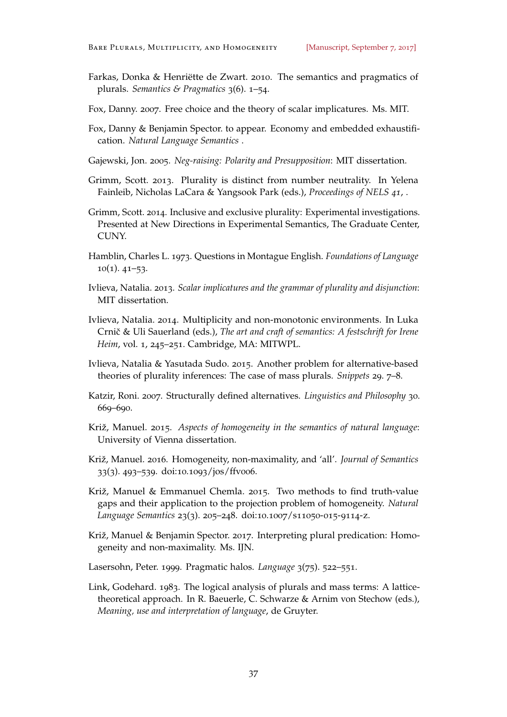- <span id="page-36-1"></span>Farkas, Donka & Henriëtte de Zwart. 2010. The semantics and pragmatics of plurals. *Semantics & Pragmatics* 3(6). 1–54.
- <span id="page-36-14"></span>Fox, Danny. 2007. Free choice and the theory of scalar implicatures. Ms. MIT.
- <span id="page-36-15"></span>Fox, Danny & Benjamin Spector. to appear. Economy and embedded exhaustification. *Natural Language Semantics* .
- <span id="page-36-2"></span>Gajewski, Jon. 2005. *Neg-raising: Polarity and Presupposition*: MIT dissertation.
- <span id="page-36-11"></span>Grimm, Scott. 2013. Plurality is distinct from number neutrality. In Yelena Fainleib, Nicholas LaCara & Yangsook Park (eds.), *Proceedings of NELS 41*, .
- <span id="page-36-12"></span>Grimm, Scott. 2014. Inclusive and exclusive plurality: Experimental investigations. Presented at New Directions in Experimental Semantics, The Graduate Center, CUNY.
- <span id="page-36-16"></span>Hamblin, Charles L. 1973. Questions in Montague English. *Foundations of Language*  $10(1)$ .  $41-53$ .
- <span id="page-36-0"></span>Ivlieva, Natalia. 2013. *Scalar implicatures and the grammar of plurality and disjunction*: MIT dissertation.
- <span id="page-36-4"></span>Ivlieva, Natalia. 2014. Multiplicity and non-monotonic environments. In Luka Crnič & Uli Sauerland (eds.), *The art and craft of semantics: A festschrift for Irene Heim*, vol. 1, 245–251. Cambridge, MA: MITWPL.
- <span id="page-36-6"></span>Ivlieva, Natalia & Yasutada Sudo. 2015. Another problem for alternative-based theories of plurality inferences: The case of mass plurals. *Snippets* 29. 7–8.
- <span id="page-36-5"></span>Katzir, Roni. 2007. Structurally defined alternatives. *Linguistics and Philosophy* 30. 669–690.
- <span id="page-36-3"></span>Križ, Manuel. 2015. *Aspects of homogeneity in the semantics of natural language*: University of Vienna dissertation.
- <span id="page-36-7"></span>Križ, Manuel. 2016. Homogeneity, non-maximality, and 'all'. *Journal of Semantics* 33(3). 493–539. doi:10.1093/jos/ffv006.
- <span id="page-36-8"></span>Križ, Manuel & Emmanuel Chemla. 2015. Two methods to find truth-value gaps and their application to the projection problem of homogeneity. *Natural Language Semantics* 23(3). 205–248. doi:10.1007/s11050-015-9114-z.
- <span id="page-36-10"></span>Križ, Manuel & Benjamin Spector. 2017. Interpreting plural predication: Homogeneity and non-maximality. Ms. IJN.
- <span id="page-36-13"></span>Lasersohn, Peter. 1999. Pragmatic halos. *Language* 3(75). 522–551.
- <span id="page-36-9"></span>Link, Godehard. 1983. The logical analysis of plurals and mass terms: A latticetheoretical approach. In R. Baeuerle, C. Schwarze & Arnim von Stechow (eds.), *Meaning, use and interpretation of language*, de Gruyter.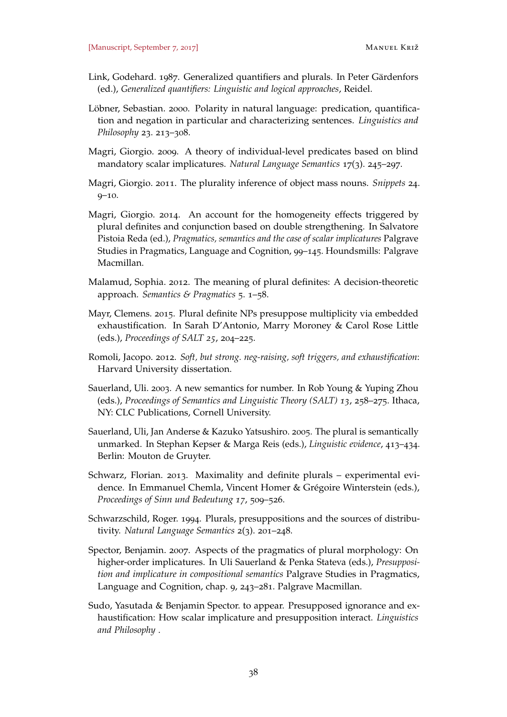- <span id="page-37-9"></span>Link, Godehard. 1987. Generalized quantifiers and plurals. In Peter Gärdenfors (ed.), *Generalized quantifiers: Linguistic and logical approaches*, Reidel.
- <span id="page-37-4"></span>Löbner, Sebastian. 2000. Polarity in natural language: predication, quantification and negation in particular and characterizing sentences. *Linguistics and Philosophy* 23. 213–308.
- <span id="page-37-11"></span>Magri, Giorgio. 2009. A theory of individual-level predicates based on blind mandatory scalar implicatures. *Natural Language Semantics* 17(3). 245–297.
- <span id="page-37-7"></span>Magri, Giorgio. 2011. The plurality inference of object mass nouns. *Snippets* 24. 9–10.
- <span id="page-37-5"></span>Magri, Giorgio. 2014. An account for the homogeneity effects triggered by plural definites and conjunction based on double strengthening. In Salvatore Pistoia Reda (ed.), *Pragmatics, semantics and the case of scalar implicatures* Palgrave Studies in Pragmatics, Language and Cognition, 99–145. Houndsmills: Palgrave Macmillan.
- <span id="page-37-10"></span>Malamud, Sophia. 2012. The meaning of plural definites: A decision-theoretic approach. *Semantics & Pragmatics* 5. 1–58.
- <span id="page-37-6"></span>Mayr, Clemens. 2015. Plural definite NPs presuppose multiplicity via embedded exhaustification. In Sarah D'Antonio, Marry Moroney & Carol Rose Little (eds.), *Proceedings of SALT 25*, 204–225.
- <span id="page-37-13"></span>Romoli, Jacopo. 2012. *Soft, but strong. neg-raising, soft triggers, and exhaustification*: Harvard University dissertation.
- <span id="page-37-0"></span>Sauerland, Uli. 2003. A new semantics for number. In Rob Young & Yuping Zhou (eds.), *Proceedings of Semantics and Linguistic Theory (SALT) 13*, 258–275. Ithaca, NY: CLC Publications, Cornell University.
- <span id="page-37-1"></span>Sauerland, Uli, Jan Anderse & Kazuko Yatsushiro. 2005. The plural is semantically unmarked. In Stephan Kepser & Marga Reis (eds.), *Linguistic evidence*, 413–434. Berlin: Mouton de Gruyter.
- <span id="page-37-8"></span>Schwarz, Florian. 2013. Maximality and definite plurals – experimental evidence. In Emmanuel Chemla, Vincent Homer & Grégoire Winterstein (eds.), *Proceedings of Sinn und Bedeutung 17*, 509–526.
- <span id="page-37-3"></span>Schwarzschild, Roger. 1994. Plurals, presuppositions and the sources of distributivity. *Natural Language Semantics* 2(3). 201–248.
- <span id="page-37-2"></span>Spector, Benjamin. 2007. Aspects of the pragmatics of plural morphology: On higher-order implicatures. In Uli Sauerland & Penka Stateva (eds.), *Presupposition and implicature in compositional semantics* Palgrave Studies in Pragmatics, Language and Cognition, chap. 9, 243–281. Palgrave Macmillan.
- <span id="page-37-12"></span>Sudo, Yasutada & Benjamin Spector. to appear. Presupposed ignorance and exhaustification: How scalar implicature and presupposition interact. *Linguistics and Philosophy* .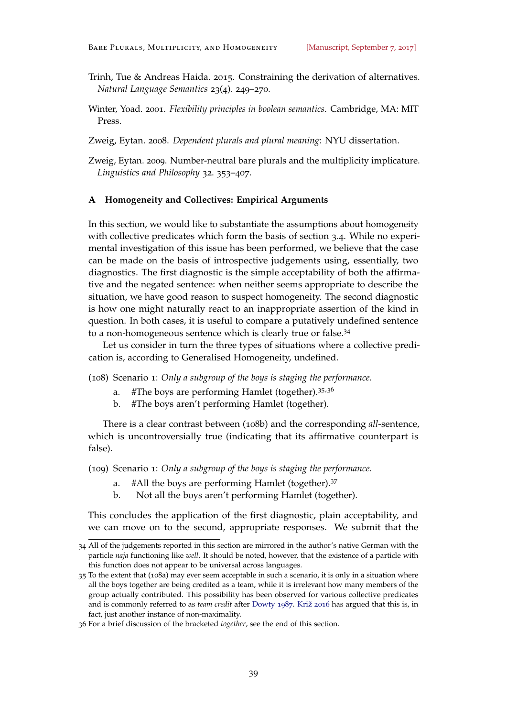- <span id="page-38-3"></span>Trinh, Tue & Andreas Haida. 2015. Constraining the derivation of alternatives. *Natural Language Semantics* 23(4). 249–270.
- <span id="page-38-5"></span>Winter, Yoad. 2001. *Flexibility principles in boolean semantics*. Cambridge, MA: MIT Press.

<span id="page-38-0"></span>Zweig, Eytan. 2008. *Dependent plurals and plural meaning*: NYU dissertation.

<span id="page-38-1"></span>Zweig, Eytan. 2009. Number-neutral bare plurals and the multiplicity implicature. *Linguistics and Philosophy* 32. 353–407.

#### <span id="page-38-2"></span>**A Homogeneity and Collectives: Empirical Arguments**

In this section, we would like to substantiate the assumptions about homogeneity with collective predicates which form the basis of section [3](#page-17-1).4. While no experimental investigation of this issue has been performed, we believe that the case can be made on the basis of introspective judgements using, essentially, two diagnostics. The first diagnostic is the simple acceptability of both the affirmative and the negated sentence: when neither seems appropriate to describe the situation, we have good reason to suspect homogeneity. The second diagnostic is how one might naturally react to an inappropriate assertion of the kind in question. In both cases, it is useful to compare a putatively undefined sentence to a non-homogeneous sentence which is clearly true or false.<sup>34</sup>

Let us consider in turn the three types of situations where a collective predication is, according to Generalised Homogeneity, undefined.

<span id="page-38-4"></span>(108) Scenario 1: *Only a subgroup of the boys is staging the performance.*

- a. #The boys are performing Hamlet (together).  $35.36$
- b. #The boys aren't performing Hamlet (together).

There is a clear contrast between (108b) and the corresponding *all*-sentence, which is uncontroversially true (indicating that its affirmative counterpart is false).

(109) Scenario 1: *Only a subgroup of the boys is staging the performance.*

- a. #All the boys are performing Hamlet (together).<sup>37</sup>
- b. Not all the boys aren't performing Hamlet (together).

This concludes the application of the first diagnostic, plain acceptability, and we can move on to the second, appropriate responses. We submit that the

<sup>34</sup> All of the judgements reported in this section are mirrored in the author's native German with the particle *naja* functioning like *well*. It should be noted, however, that the existence of a particle with this function does not appear to be universal across languages.

<sup>35</sup> To the extent that (108a) may ever seem acceptable in such a scenario, it is only in a situation where all the boys together are being credited as a team, while it is irrelevant how many members of the group actually contributed. This possibility has been observed for various collective predicates and is commonly referred to as *team credit* after [Dowty](#page-35-5) [1987](#page-35-5). [Križ](#page-36-7) [2016](#page-36-7) has argued that this is, in fact, just another instance of non-maximality.

<sup>36</sup> For a brief discussion of the bracketed *together*, see the end of this section.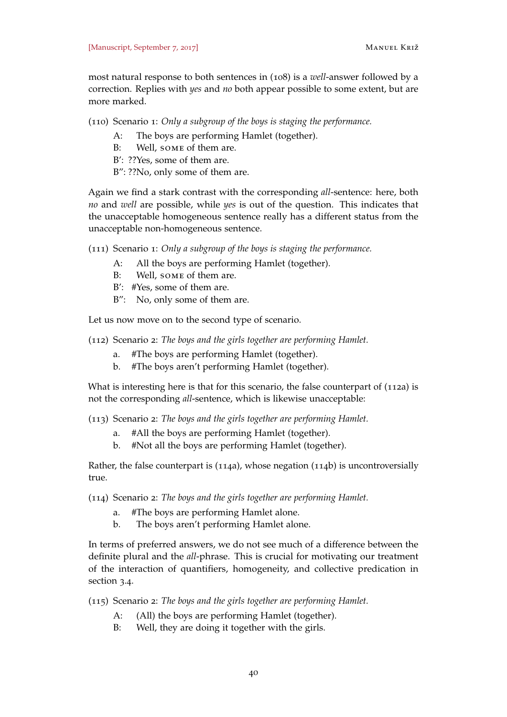most natural response to both sentences in ([108](#page-38-4)) is a *well*-answer followed by a correction. Replies with *yes* and *no* both appear possible to some extent, but are more marked.

(110) Scenario 1: *Only a subgroup of the boys is staging the performance.*

- A: The boys are performing Hamlet (together).
- B: Well, some of them are.
- B': ??Yes, some of them are.
- B": ??No, only some of them are.

Again we find a stark contrast with the corresponding *all*-sentence: here, both *no* and *well* are possible, while *yes* is out of the question. This indicates that the unacceptable homogeneous sentence really has a different status from the unacceptable non-homogeneous sentence.

(111) Scenario 1: *Only a subgroup of the boys is staging the performance.*

- A: All the boys are performing Hamlet (together).
- B: Well, some of them are.
- B': #Yes, some of them are.
- B": No, only some of them are.

Let us now move on to the second type of scenario.

- (112) Scenario 2: *The boys and the girls together are performing Hamlet.*
	- a. #The boys are performing Hamlet (together).
	- b. #The boys aren't performing Hamlet (together).

What is interesting here is that for this scenario, the false counterpart of (112a) is not the corresponding *all*-sentence, which is likewise unacceptable:

(113) Scenario 2: *The boys and the girls together are performing Hamlet.*

- a. #All the boys are performing Hamlet (together).
- b. #Not all the boys are performing Hamlet (together).

Rather, the false counterpart is (114a), whose negation (114b) is uncontroversially true.

(114) Scenario 2: *The boys and the girls together are performing Hamlet.*

- a. #The boys are performing Hamlet alone.
- b. The boys aren't performing Hamlet alone.

In terms of preferred answers, we do not see much of a difference between the definite plural and the *all*-phrase. This is crucial for motivating our treatment of the interaction of quantifiers, homogeneity, and collective predication in section [3](#page-17-1).4.

- (115) Scenario 2: *The boys and the girls together are performing Hamlet.*
	- A: (All) the boys are performing Hamlet (together).
	- B: Well, they are doing it together with the girls.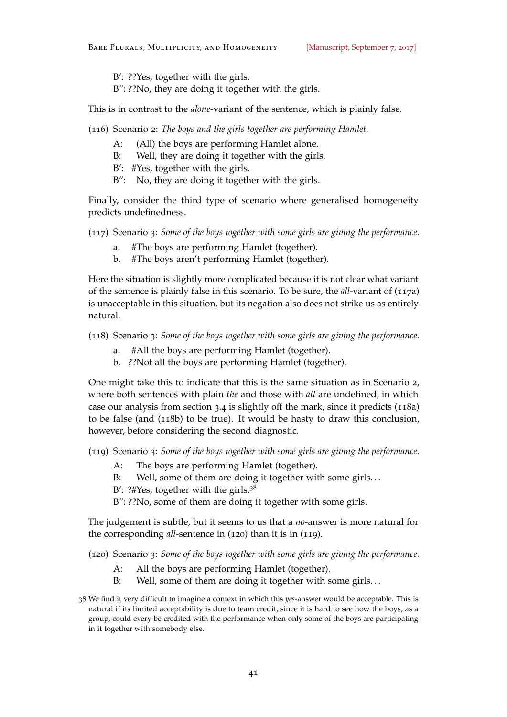- B': ??Yes, together with the girls.
- B": ??No, they are doing it together with the girls.

This is in contrast to the *alone*-variant of the sentence, which is plainly false.

(116) Scenario 2: *The boys and the girls together are performing Hamlet.*

- A: (All) the boys are performing Hamlet alone.
- B: Well, they are doing it together with the girls.
- B': #Yes, together with the girls.
- B": No, they are doing it together with the girls.

Finally, consider the third type of scenario where generalised homogeneity predicts undefinedness.

- (117) Scenario 3: *Some of the boys together with some girls are giving the performance.*
	- a. #The boys are performing Hamlet (together).
	- b. #The boys aren't performing Hamlet (together).

Here the situation is slightly more complicated because it is not clear what variant of the sentence is plainly false in this scenario. To be sure, the *all*-variant of (117a) is unacceptable in this situation, but its negation also does not strike us as entirely natural.

(118) Scenario 3: *Some of the boys together with some girls are giving the performance.*

- a. #All the boys are performing Hamlet (together).
- b. ??Not all the boys are performing Hamlet (together).

<span id="page-40-0"></span>One might take this to indicate that this is the same situation as in Scenario 2, where both sentences with plain *the* and those with *all* are undefined, in which case our analysis from section [3](#page-17-1).4 is slightly off the mark, since it predicts (118a) to be false (and (118b) to be true). It would be hasty to draw this conclusion, however, before considering the second diagnostic.

(119) Scenario 3: *Some of the boys together with some girls are giving the performance.*

- A: The boys are performing Hamlet (together).
- B: Well, some of them are doing it together with some girls...
- B': ?#Yes, together with the girls. $3^8$

B": ??No, some of them are doing it together with some girls.

The judgement is subtle, but it seems to us that a *no*-answer is more natural for the corresponding *all*-sentence in (120) than it is in (119).

(120) Scenario 3: *Some of the boys together with some girls are giving the performance.*

- A: All the boys are performing Hamlet (together).
- B: Well, some of them are doing it together with some girls...

<sup>38</sup> We find it very difficult to imagine a context in which this *yes*-answer would be acceptable. This is natural if its limited acceptability is due to team credit, since it is hard to see how the boys, as a group, could every be credited with the performance when only some of the boys are participating in it together with somebody else.